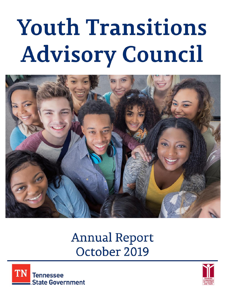# **Youth Transitions Advisory Council**



# **Annual Report** October 2019



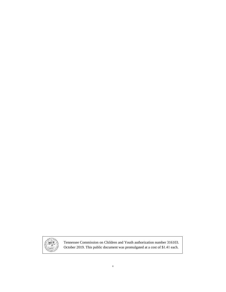

Tennessee Commission on Children and Youth authorization number 316103. October 2019. This public document was promulgated at a cost of \$1.41 each.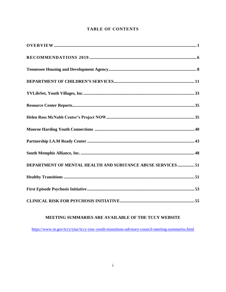# **TABLE OF CONTENTS**

| DEPARTMENT OF MENTAL HEALTH AND SUBSTANCE ABUSE SERVICES 51 |
|-------------------------------------------------------------|
|                                                             |
|                                                             |
|                                                             |

# MEETING SUMMARIES ARE AVAILABLE OF THE TCCY WEBSITE

https://www.tn.gov/tccy/ytac/tccy-ytac-youth-transitions-advisory-council-meeting-summaries.html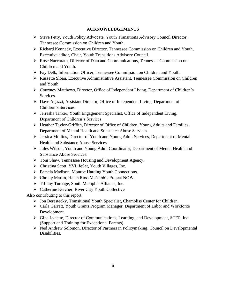#### **ACKNOWLEDGEMENTS**

- ➢ Steve Petty, Youth Policy Advocate, Youth Transitions Advisory Council Director, Tennessee Commission on Children and Youth.
- ➢ Richard Kennedy, Executive Director, Tennessee Commission on Children and Youth, Executive editor, Chair, Youth Transitions Advisory Council.
- ➢ Rose Naccarato, Director of Data and Communications, Tennessee Commission on Children and Youth.
- ➢ Fay Delk, Information Officer, Tennessee Commission on Children and Youth.
- ➢ Russette Sloan, Executive Administrative Assistant, Tennessee Commission on Children and Youth.
- ➢ Courtney Matthews, Director, Office of Independent Living, Department of Children's Services.
- ➢ Dave Aguzzi, Assistant Director, Office of Independent Living, Department of Children's Services.
- ➢ Jerresha Tinker, Youth Engagement Specialist, Office of Independent Living, Department of Children's Services.
- ➢ Heather Taylor-Griffith, Director of Office of Children, Young Adults and Families, Department of Mental Health and Substance Abuse Services.
- ➢ Jessica Mullins, Director of Youth and Young Adult Services, Department of Mental Health and Substance Abuse Services.
- ➢ Jules Wilson, Youth and Young Adult Coordinator, Department of Mental Health and Substance Abuse Services.
- ➢ Toni Shaw, Tennessee Housing and Development Agency.
- ➢ Christina Scott, YVLifeSet, Youth Villages, Inc.
- ➢ Pamela Madison, Monroe Harding Youth Connections.
- ➢ Christy Martin, Helen Ross McNabb's Project NOW.
- ➢ Tiffany Turnage, South Memphis Alliance, Inc.
- ➢ Catherine Kercher, River City Youth Collective

Also contributing to this report:

- ➢ Jon Berestecky, Transitional Youth Specialist, Chambliss Center for Children.
- ➢ Carla Garrett, Youth Grants Program Manager, Department of Labor and Workforce Development.
- $\triangleright$  Gina Lynette, Director of Communications, Learning, and Development, STEP, Inc (Support and Training for Exceptional Parents).
- ➢ Ned Andrew Solomon, Director of Partners in Policymaking, Council on Developmental Disabilities.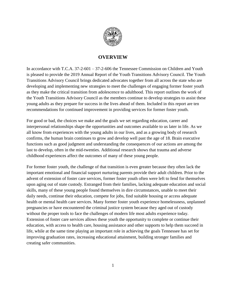

# **OVERVIEW**

In accordance with T.C.A. 37-2-601 – 37-2-606 the Tennessee Commission on Children and Youth is pleased to provide the 2019 Annual Report of the Youth Transitions Advisory Council. The Youth Transitions Advisory Council brings dedicated advocates together from all across the state who are developing and implementing new strategies to meet the challenges of engaging former foster youth as they make the critical transition from adolescence to adulthood. This report outlines the work of the Youth Transitions Advisory Council as the members continue to develop strategies to assist these young adults as they prepare for success in the lives ahead of them. Included in this report are ten recommendations for continued improvement in providing services for former foster youth.

For good or bad, the choices we make and the goals we set regarding education, career and interpersonal relationships shape the opportunities and outcomes available to us later in life. As we all know from experiences with the young adults in our lives, and as a growing body of research confirms, the human brain continues to grow and develop well past the age of 18. Brain executive functions such as good judgment and understanding the consequences of our actions are among the last to develop, often in the mid-twenties. Additional research shows that trauma and adverse childhood experiences affect the outcomes of many of these young people.

For former foster youth, the challenge of that transition is even greater because they often lack the important emotional and financial support nurturing parents provide their adult children. Prior to the advent of extension of foster care services, former foster youth often were left to fend for themselves upon aging out of state custody. Estranged from their families, lacking adequate education and social skills, many of these young people found themselves in dire circumstances, unable to meet their daily needs, continue their education, compete for jobs, find suitable housing or access adequate health or mental health care services. Many former foster youth experience homelessness, unplanned pregnancies or have encountered the criminal justice system because they aged out of custody without the proper tools to face the challenges of modern life most adults experience today. Extension of foster care services allows these youth the opportunity to complete or continue their education, with access to health care, housing assistance and other supports to help them succeed in life, while at the same time playing an important role in achieving the goals Tennessee has set for improving graduation rates, increasing educational attainment, building stronger families and creating safer communities.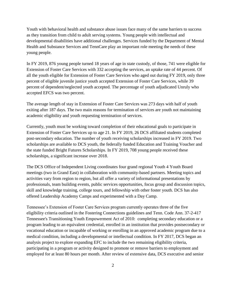Youth with behavioral health and substance abuse issues face many of the same barriers to success as they transition from child to adult serving systems. Young people with intellectual and developmental disabilities have additional challenges. Services funded by the Department of Mental Health and Substance Services and TennCare play an important role meeting the needs of these young people.

In FY 2019, 876 young people turned 18 years of age in state custody, of those, 741 were eligible for Extension of Foster Care Services with 332 accepting the services, an uptake rate of 44 percent. Of all the youth eligible for Extension of Foster Care Services who aged out during FY 2019, only three percent of eligible juvenile justice youth accepted Extension of Foster Care Services, while 39 percent of dependent/neglected youth accepted. The percentage of youth adjudicated Unruly who accepted EFCS was two percent.

The average length of stay in Extension of Foster Care Services was 273 days with half of youth exiting after 187 days. The two main reasons for termination of services are youth not maintaining academic eligibility and youth requesting termination of services.

Currently, youth must be working toward completion of their educational goals to participate in Extension of Foster Care Services up to age 21. In FY 2019, 26 DCS affiliated students completed post-secondary education. The number of youth receiving scholarships increased in FY 2019. Two scholarships are available to DCS youth, the federally funded Education and Training Voucher and the state funded Bright Futures Scholarships. In FY 2019, 708 young people received these scholarships, a significant increase over 2018.

The DCS Office of Independent Living coordinates four grand regional Youth 4 Youth Board meetings (two in Grand East) in collaboration with community-based partners. Meeting topics and activities vary from region to region, but all offer a variety of informational presentations by professionals, team building events, public services opportunities, focus group and discussion topics, skill and knowledge training, college tours, and fellowship with other foster youth. DCS has also offered Leadership Academy Camps and experimented with a Day Camp.

Tennessee's Extension of Foster Care Services program currently operates three of the five eligibility criteria outlined in the Fostering Connections guidelines and Tenn. Code Ann. 37-2-417 Tennessee's Transitioning Youth Empowerment Act of 2010: completing secondary education or a program leading to an equivalent credential, enrolled in an institution that provides postsecondary or vocational education or incapable of working or enrolling in an approved academic program due to a medical condition, including a developmental or intellectual condition. In FY 2017, DCS began an analysis project to explore expanding EFC to include the two remaining eligibility criteria, participating in a program or activity designed to promote or remove barriers to employment and employed for at least 80 hours per month. After review of extensive data, DCS executive and senior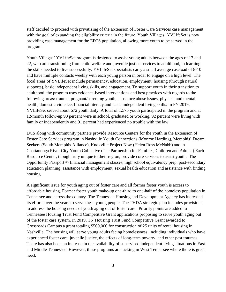staff decided to proceed with privatizing of the Extension of Foster Care Services case management with the goal of expanding the eligibility criteria in the future. Youth Villages' YVLifeSet is now providing case management for the EFCS population, allowing more youth to be served in the program.

Youth Villages' YVLifeSet program is designed to assist young adults between the ages of 17 and 22, who are transitioning from child welfare and juvenile justice services to adulthood, in learning the skills needed to live successfully. YVLifeSet specialists carry a small average caseload of 8-10 and have multiple contacts weekly with each young person in order to engage on a high level. The focal areas of YVLifeSet include permanency, education, employment, housing (through natural supports), basic independent living skills, and engagement. To support youth in their transition to adulthood, the program uses evidence-based interventions and best practices with regards to the following areas: trauma, pregnant/parenting youth, substance abuse issues, physical and mental health, domestic violence, financial literacy and basic independent living skills. In FY 2019, YVLifeSet served about 672 youth daily. A total of 1,575 youth participated in the program and at 12-month follow-up 93 percent were in school, graduated or working, 92 percent were living with family or independently and 91 percent had experienced no trouble with the law

DCS along with community partners provide Resource Centers for the youth in the Extension of Foster Care Services program in Nashville Youth Connections (Monroe Harding), Memphis' Dream Seekers (South Memphis Alliance), Knoxville Project Now (Helen Ross McNabb) and in Chattanooga River City Youth Collective (The Partnership for Families, Children and Adults.) Each Resource Center, though truly unique to their region, provide core services to assist youth: The Opportunity Passport™ financial management classes, high school equivalency prep, post-secondary education planning, assistance with employment, sexual health education and assistance with finding housing.

A significant issue for youth aging out of foster care and all former foster youth is access to affordable housing. Former foster youth make-up one-third to one-half of the homeless population in Tennessee and across the country. The Tennessee Housing and Development Agency has increased its efforts over the years to serve these young people. The THDA strategic plan includes provisions to address the housing needs of youth aging out of foster care. Priority points are added to Tennessee Housing Trust Fund Competitive Grant applications proposing to serve youth aging out of the foster care system. In 2019, TN Housing Trust Fund Competitive Grant awarded to Crossroads Campus a grant totaling \$500,000 for construction of 25 units of rental housing in Nashville. The housing will serve young adults facing homelessness, including individuals who have experienced foster care, juvenile justice, the effects of long-term poverty, and other past traumas. There has also been an increase in the availability of supervised independent living situations in East and Middle Tennessee. However, these programs are lacking in West Tennessee where there is great need.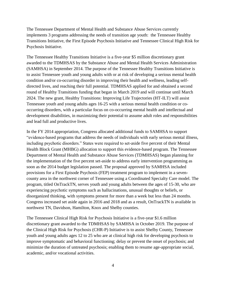The Tennessee Department of Mental Health and Substance Abuse Services currently implements 3 programs addressing the needs of transition age youth: the Tennessee Healthy Transitions Initiative, the First Episode Psychosis Initiative and Tennessee Clinical High Risk for Psychosis Initiative.

The Tennessee Healthy Transitions Initiative is a five-year \$5 million discretionary grant awarded to the TDMHSAS by the Substance Abuse and Mental Health Services Administration (SAMHSA) in September 2014. The purpose of the Tennessee Healthy Transitions Initiative is to assist Tennessee youth and young adults with or at risk of developing a serious mental health condition and/or co-occurring disorder in improving their health and wellness, leading selfdirected lives, and reaching their full potential. TDMHSAS applied for and obtained a second round of Healthy Transitions funding that began in March 2019 and will continue until March 2024. The new grant, Healthy Transitions: Improving Life Trajectories (HT-ILT) will assist Tennessee youth and young adults ages 16-25 with a serious mental health condition or cooccurring disorders, with a particular focus on co-occurring mental health and intellectual and development disabilities, in maximizing their potential to assume adult roles and responsibilities and lead full and productive lives.

In the FY 2014 appropriation, Congress allocated additional funds to SAMHSA to support "evidence-based programs that address the needs of individuals with early serious mental illness, including psychotic disorders." States were required to set-aside five percent of their Mental Health Block Grant (MHBG) allocation to support this evidence-based program. The Tennessee Department of Mental Health and Substance Abuse Services (TDMHSAS) began planning for the implementation of the five percent set-aside to address early intervention programming as soon as the 2014 budget legislation passed. The proposal approved by SAMHSA included provisions for a First Episode Psychosis (FEP) treatment program to implement in a sevencounty area in the northwest corner of Tennessee using a Coordinated Specialty Care model. The program, titled OnTrackTN, serves youth and young adults between the ages of 15-30, who are experiencing psychotic symptoms such as hallucinations, unusual thoughts or beliefs, or disorganized thinking, with symptoms present for more than a week but less than 24 months. Congress increased set aside again in 2016 and 2018 and as a result, OnTrackTN is available in northwest TN, Davidson, Hamilton, Knox and Shelby counties.

The Tennessee Clinical High Risk for Psychosis Initiative is a five-year \$1.6 million discretionary grant awarded to the TDMHSAS by SAMHSA in October 2019. The purpose of the Clinical High Risk for Psychosis (CHR-P) Initiative is to assist Shelby County, Tennessee youth and young adults ages 12 to 25 who are at clinical high risk for developing psychosis to improve symptomatic and behavioral functioning; delay or prevent the onset of psychosis; and minimize the duration of untreated psychosis; enabling them to resume age-appropriate social, academic, and/or vocational activities.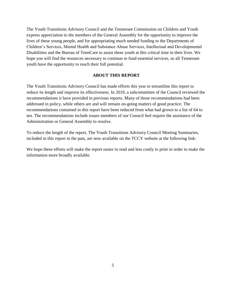The Youth Transitions Advisory Council and the Tennessee Commission on Children and Youth express appreciation to the members of the General Assembly for the opportunity to improve the lives of these young people, and for appropriating much needed funding to the Departments of Children's Services, Mental Health and Substance Abuse Services, Intellectual and Developmental Disabilities and the Bureau of TennCare to assist these youth at this critical time in their lives. We hope you will find the resources necessary to continue to fund essential services, so all Tennessee youth have the opportunity to reach their full potential.

#### **ABOUT THIS REPORT**

The Youth Transitions Advisory Council has made efforts this year to streamline this report to reduce its length and improve its effectiveness. In 2019, a subcommittee of the Council reviewed the recommendations it have provided in previous reports. Many of those recommendations had been addressed in policy, while others are and will remain on-going matters of good practice. The recommendations contained in this report have been reduced from what had grown to a list of 64 to ten. The recommendations include issues members of our Council feel require the assistance of the Administration or General Assembly to resolve.

To reduce the length of the report, The Youth Transitions Advisory Council Meeting Summaries, included in this report in the past, are now available on the TCCY website at the following link:

We hope these efforts will make the report easier to read and less costly to print in order to make the information more broadly available.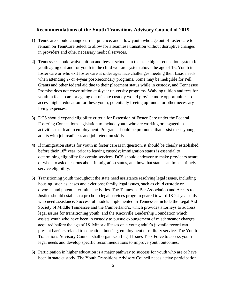#### **Recommendations of the Youth Transitions Advisory Council of 2019**

- **1)** TennCare should change current practice, and allow youth who age out of foster care to remain on TennCare Select to allow for a seamless transition without disruptive changes in providers and other necessary medical services.
- **2)** Tennessee should waive tuition and fees at schools in the state higher education system for youth aging out and for youth in the child welfare system above the age of 16. Youth in foster care or who exit foster care at older ages face challenges meeting their basic needs when attending 2- or 4-year post-secondary programs. Some may be ineligible for Pell Grants and other federal aid due to their placement status while in custody, and Tennessee Promise does not cover tuition at 4-year university programs. Waiving tuition and fees for youth in foster care or ageing out of state custody would provide more opportunities to access higher education for these youth, potentially freeing up funds for other necessary living expenses.
- **3)** DCS should expand eligibility criteria for Extension of Foster Care under the Federal Fostering Connections legislation to include youth who are working or engaged in activities that lead to employment. Programs should be promoted that assist these young adults with job readiness and job retention skills.
- **4)** If immigration status for youth in foster care is in question, it should be clearly established before their  $18<sup>th</sup>$  year, prior to leaving custody; immigration status is essential to determining eligibility for certain services. DCS should endeavor to make providers aware of when to ask questions about immigration status, and how that status can impact timely service eligibility.
- **5)** Transitioning youth throughout the state need assistance resolving legal issues, including housing, such as leases and evictions; family legal issues, such as child custody or divorce; and potential criminal activities. The Tennessee Bar Association and Access to Justice should establish a pro bono legal services program geared toward 18-24-year-olds who need assistance. Successful models implemented in Tennessee include the Legal Aid Society of Middle Tennessee and the Cumberland's, which provides attorneys to address legal issues for transitioning youth, and the Knoxville Leadership Foundation which assists youth who have been in custody to pursue expungement of misdemeanor charges acquired before the age of 18. Minor offenses on a young adult's juvenile record can present barriers related to education, housing, employment or military service. The Youth Transitions Advisory Council shall organize a Legal Issues Task Force to access youth legal needs and develop specific recommendations to improve youth outcomes.
- **6)** Participation in higher education is a major pathway to success for youth who are or have been in state custody. The Youth Transitions Advisory Council needs active participation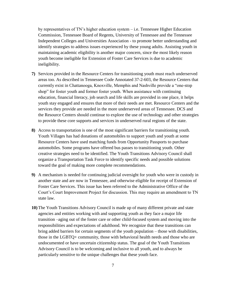by representatives of TN's higher education system – i.e. Tennessee Higher Education Commission, Tennessee Board of Regents, University of Tennessee and the Tennessee Independent Colleges and Universities Association - to promote better understanding and identify strategies to address issues experienced by these young adults. Assisting youth in maintaining academic eligibility is another major concern, since the most likely reason youth become ineligible for Extension of Foster Care Services is due to academic ineligibility.

- **7)** Services provided in the Resource Centers for transitioning youth must reach underserved areas too. As described in Tennessee Code Annotated 37-2-603, the Resource Centers that currently exist in Chattanooga, Knoxville, Memphis and Nashville provide a "one-stop shop" for foster youth and former foster youth. When assistance with continuing education, financial literacy, job search and life skills are provided in one place, it helps youth stay engaged and ensures that more of their needs are met. Resource Centers and the services they provide are needed in the more underserved areas of Tennessee. DCS and the Resource Centers should continue to explore the use of technology and other strategies to provide these core supports and services in underserved rural regions of the state.
- **8)** Access to transportation is one of the most significant barriers for transitioning youth. Youth Villages has had donations of automobiles to support youth and youth at some Resource Centers have used matching funds from Opportunity Passports to purchase automobiles. Some programs have offered bus passes to transitioning youth. Other creative strategies need to be identified. The Youth Transitions Advisory Council shall organize a Transportation Task Force to identify specific needs and possible solutions toward the goal of making more complete recommendations.
- **9)** A mechanism is needed for continuing judicial oversight for youth who were in custody in another state and are now in Tennessee, and otherwise eligible for receipt of Extension of Foster Care Services. This issue has been referred to the Administrative Office of the Court's Court Improvement Project for discussion. This may require an amendment to TN state law.
- **10)** The Youth Transitions Advisory Council is made up of many different private and state agencies and entities working with and supporting youth as they face a major life transition –aging out of the foster care or other child-focused system and moving into the responsibilities and expectations of adulthood. We recognize that these transitions can bring added barriers for certain segments of the youth population – those with disabilities, those in the LGBTQ+ community, those with behavioral health needs and those who are undocumented or have uncertain citizenship status. The goal of the Youth Transitions Advisory Council is to be welcoming and inclusive to all youth, and to always be particularly sensitive to the unique challenges that these youth face.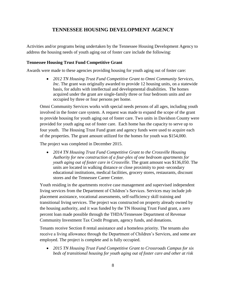# **TENNESSEE HOUSING DEVELOPMENT AGENCY**

Activities and/or programs being undertaken by the Tennessee Housing Development Agency to address the housing needs of youth aging out of foster care include the following:

#### **Tennessee Housing Trust Fund Competitive Grant**

Awards were made to these agencies providing housing for youth aging out of foster care:

• *2012 TN Housing Trust Fund Competitive Grant to Omni Community Services, Inc.* The grant was originally awarded to provide 12 housing units, on a statewide basis, for adults with intellectual and developmental disabilities. The homes acquired under the grant are single-family three or four bedroom units and are occupied by three or four persons per home.

Omni Community Services works with special needs persons of all ages, including youth involved in the foster care system. A request was made to expand the scope of the grant to provide housing for youth aging out of foster care. Two units in Davidson County were provided for youth aging out of foster care. Each home has the capacity to serve up to four youth. The Housing Trust Fund grant and agency funds were used to acquire each of the properties. The grant amount utilized for the homes for youth was \$154,000.

The project was completed in December 2015.

• *2014 TN Housing Trust Fund Competitive Grant to the Crossville Housing Authority for new construction of a four-plex of one bedroom apartments for youth aging out of foster care in Crossville*. The grant amount was \$136,050. The units are located in walking distance or close proximity to post–secondary educational institutions, medical facilities, grocery stores, restaurants, discount stores and the Tennessee Career Center.

Youth residing in the apartments receive case management and supervised independent living services from the Department of Children's Services. Services may include job placement assistance, vocational assessments, self-sufficiency skill training and transitional living services. The project was constructed on property already owned by the housing authority, and it was funded by the TN Housing Trust Fund grant, a zero percent loan made possible through the THDA/Tennessee Department of Revenue Community Investment Tax Credit Program, agency funds, and donations.

Tenants receive Section 8 rental assistance and a homeless priority. The tenants also receive a living allowance through the Department of Children's Services, and some are employed. The project is complete and is fully occupied.

• *2015 TN Housing Trust Fund Competitive Grant to Crossroads Campus for six beds of transitional housing for youth aging out of foster care and other at risk*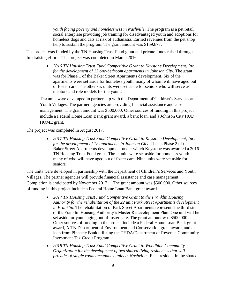*youth facing poverty and homelessness in Nashville*. The program is a pet retail social enterprise providing job training for disadvantaged youth and adoptions for homeless dogs and cats at risk of euthanasia. Earned revenues from the pet shop help to sustain the program. The grant amount was \$159,877.

The project was funded by the TN Housing Trust Fund grant and private funds raised through fundraising efforts. The project was completed in March 2016.

> • *2016 TN Housing Trust Fund Competitive Grant to Keystone Development, Inc. for the development of 12 one-bedroom apartments in Johnson City*. The grant was for Phase 1 of the Baker Street Apartments development. Six of the apartments were set aside for homeless youth, many of whom will have aged out of foster care. The other six units were set aside for seniors who will serve as mentors and role models for the youth.

The units were developed in partnership with the Department of Children's Services and Youth Villages. The partner agencies are providing financial assistance and case management. The grant amount was \$500,000. Other sources of funding in this project include a Federal Home Loan Bank grant award, a bank loan, and a Johnson City HUD HOME grant.

The project was completed in August 2017.

• *2017 TN Housing Trust Fund Competitive Grant to Keystone Development, Inc. for the development of 12 apartments in Johnson City*. This is Phase 2 of the Baker Street Apartments development under which Keystone was awarded a 2016 TN Housing Trust Fund grant. Three units were set aside for homeless youth many of who will have aged out of foster care. Nine units were set aside for seniors.

The units were developed in partnership with the Department of Children's Services and Youth Villages. The partner agencies will provide financial assistance and case management. Completion is anticipated by November 2017. The grant amount was \$500,000. Other sources of funding in this project include a Federal Home Loan Bank grant award.

- *2017 TN Housing Trust Fund Competitive Grant to the Franklin Housing Authority for the rehabilitation of the 22 unit Park Street Apartments development in Franklin*. The rehabilitation of Park Street Apartments represents the third site of the Franklin Housing Authority's Master Redevelopment Plan. One unit will be set aside for youth aging out of foster care. The grant amount was \$500,000. Other sources of funding in the project include a Federal Home Loan Bank grant award, A TN Department of Environment and Conservation grant award, and a loan from Pinnacle Bank utilizing the THDA/Department of Revenue Community Investment Tax Credit Program.
- *2018 TN Housing Trust Fund Competitive Grant to Woodbine Community Organization for the development of two shared living residences that will provide 16 single room occupancy units in Nashville*. Each resident in the shared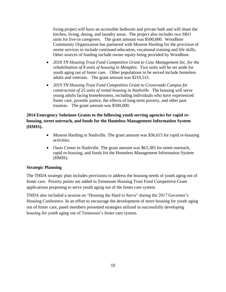living project will have an accessible bedroom and private bath and will share the kitchen, living, dining, and laundry areas. The project also includes two SRO units for live-in caregivers. The grant amount was \$500,000. Woodbine Community Organization has partnered with Monroe Harding for the provision of onsite services to include continued education, vocational training and life skills. Other sources of funding include owner equity being provided by Woodbine.

- *2018 TN Housing Trust Fund Competitive Grant to Case Management Inc. for the rehabilitation of 8 units of housing in Memphis*. Two units will be set aside for youth aging out of foster care. Other populations to be served include homeless adults and veterans. The grant amount was \$210,515.
- *2019 TN Housing Trust Fund Competitive Grant to Crossroads Campus for construction of 25 units of rental housing in Nashville.* The housing will serve young adults facing homelessness, including individuals who have experienced foster care, juvenile justice, the effects of long-term poverty, and other past traumas. The grant amount was \$500,000.

# **2014 Emergency Solutions Grants to the following youth serving agencies for rapid rehousing, street outreach, and funds for the Homeless Management Information System (HMIS).**

- Monroe Harding in Nashville. The grant amount was \$36,615 for rapid re-housing activities.
- Oasis Center in Nashville. The grant amount was \$63,385 for street outreach, rapid re-housing, and funds for the Homeless Management Information System (HMIS).

# **Strategic Planning**

The THDA strategic plan includes provisions to address the housing needs of youth aging out of foster care. Priority points are added to Tennessee Housing Trust Fund Competitive Grant applications proposing to serve youth aging out of the foster care system.

THDA also included a session on "Housing the Hard to Serve" during the 2017 Governor's Housing Conference. In an effort to encourage the development of more housing for youth aging out of foster care, panel members presented strategies utilized in successfully developing housing for youth aging out of Tennessee's foster care system.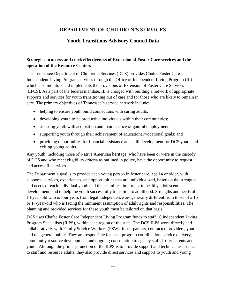# **DEPARTMENT OF CHILDREN'S SERVICES**

# **Youth Transitions Advisory Council Data**

# **Strategies to access and track effectiveness of Extension of Foster Care services and the operation of the Resource Centers**

The Tennessee Department of Children's Services (DCS) provides Chafee Foster Care Independent Living Program services through the Office of Independent Living Program (IL) which also monitors and implements the provisions of Extension of Foster Care Services (EFCS). As a part of the federal mandate, IL is charged with building a network of appropriate supports and services for youth transitioning out of care and for those who are likely to remain in care. The primary objectives of Tennessee's service network include:

- helping to ensure youth build connections with caring adults;
- developing youth to be productive individuals within their communities;
- assisting youth with acquisition and maintenance of gainful employment;
- supporting youth through their achievement of educational/vocational goals; and
- providing opportunities for financial assistance and skill development for DCS youth and exiting young adults.

Any youth, including those of Native American heritage, who have been or were in the custody of DCS and who meet eligibility criteria as outlined in policy, have the opportunity to request and access IL services.

The Department's goal is to provide each young person in foster care, age 14 or older, with supports, services, experiences, and opportunities that are individualized, based on the strengths and needs of each individual youth and their families, important to healthy adolescent development, and to help the youth successfully transition to adulthood. Strengths and needs of a 14-year-old who is four years from legal independence are generally different from those of a 16 or 17-year-old who is facing the imminent assumption of adult rights and responsibilities. The planning and provided services for these youth must be tailored on that basis.

DCS uses Chafee Foster Care Independent Living Program funds to staff 16 Independent Living Program Specialists (ILPS), within each region of the state. The DCS ILPS work directly and collaboratively with Family Service Workers (FSW), foster parents, contracted providers, youth and the general public. They are responsible for local program coordination, service delivery, community resource development and ongoing consultation to agency staff, foster parents and youth. Although the primary function of the ILPS is to provide support and technical assistance to staff and resource adults, they also provide direct services and support to youth and young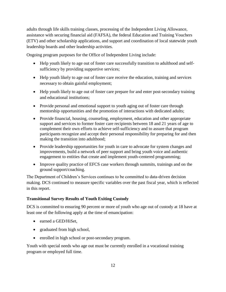adults through life skills training classes, processing of the Independent Living Allowance, assistance with securing financial aid (FAFSA), the federal Education and Training Vouchers (ETV) and other scholarship applications, and support and coordination of local statewide youth leadership boards and other leadership activities.

Ongoing program purposes for the Office of Independent Living include:

- Help youth likely to age out of foster care successfully transition to adulthood and selfsufficiency by providing supportive services;
- Help youth likely to age out of foster care receive the education, training and services necessary to obtain gainful employment;
- Help youth likely to age out of foster care prepare for and enter post-secondary training and educational institutions;
- Provide personal and emotional support to youth aging out of foster care through mentorship opportunities and the promotion of interactions with dedicated adults;
- Provide financial, housing, counseling, employment, education and other appropriate support and services to former foster care recipients between 18 and 21 years of age to complement their own efforts to achieve self-sufficiency and to assure that program participants recognize and accept their personal responsibility for preparing for and then making the transition into adulthood;
- Provide leadership opportunities for youth in care to advocate for system changes and improvements, build a network of peer support and bring youth voice and authentic engagement to entities that create and implement youth-centered programming;
- Improve quality practice of EFCS case workers through summits, trainings and on the ground support/coaching.

The Department of Children's Services continues to be committed to data-driven decision making. DCS continued to measure specific variables over the past fiscal year, which is reflected in this report.

# **Transitional Survey Results of Youth Exiting Custody**

DCS is committed to ensuring 90 percent or more of youth who age out of custody at 18 have at least one of the following apply at the time of emancipation:

- earned a GED/HiSet.
- graduated from high school,
- enrolled in high school or post-secondary program.

Youth with special needs who age out must be currently enrolled in a vocational training program or employed full time.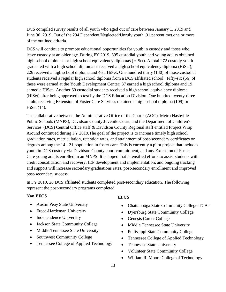DCS compiled survey results of all youth who aged out of care between January 1, 2019 and June 30, 2019. Out of the 294 Dependent/Neglected/Unruly youth, 91 percent met one or more of the outlined criteria.

DCS will continue to promote educational opportunities for youth in custody and those who leave custody at an older age. During FY 2019, 395 custodial youth and young adults obtained high school diplomas or high school equivalency diplomas (HiSet). A total 272 custody youth graduated with a high school diploma or received a high school equivalency diploma (HiSet); 226 received a high school diploma and 46 a HiSet, One hundred thirty (130) of those custodial students received a regular high school diploma from a DCS affiliated school. Fifty-six (56) of these were earned at the Youth Development Center; 37 earned a high school diploma and 19 earned a HiSet. Another 60 custodial students received a high school equivalency diploma (HiSet) after being approved to test by the DCS Education Division. One hundred twenty-three adults receiving Extension of Foster Care Services obtained a high school diploma (109) or HiSet (14).

The collaborative between the Administrative Office of the Courts (AOC), Metro Nashville Public Schools (MNPS), Davidson County Juvenile Court, and the Department of Children's Services' (DCS) Central Office staff & Davidson County Regional staff entitled Project Wrap Around continued during FY 2019.The goal of the project is to increase timely high school graduation rates, matriculation, retention rates, and attainment of post-secondary certificates or degrees among the 14 - 21 population in foster care. This is currently a pilot project that includes youth in DCS custody via Davidson County court commitment, and any Extension of Foster Care young adults enrolled in an MNPS. It is hoped that intensified efforts to assist students with credit consolidation and recovery, IEP development and implementation, and ongoing tracking and support will increase secondary graduations rates, post-secondary enrollment and improved post-secondary success.

In FY 2019, 26 DCS affiliated students completed post-secondary education. The following represent the post-secondary programs completed.

#### **Non EFCS**

- Austin Peay State University
- Freed-Hardeman University
- Independence University
- Jackson State Community College
- Middle Tennessee State University
- Southwest Community College
- Tennessee College of Applied Technology

#### **EFCS**

- Chattanooga State Community College-TCAT
- Dyersburg State Community College
- Genesis Career College
- Middle Tennessee State University
- Pellissippi State Community College
- Tennessee College of Applied Technology
- Tennessee State University
- Volunteer State Community College
- William R. Moore College of Technology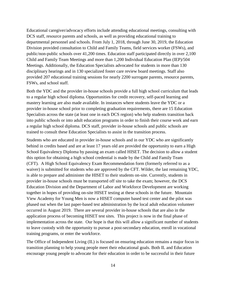Educational caregiver/advocacy efforts include attending educational meetings, consulting with DCS staff, resource parents and schools, as well as providing educational training to departmental personnel and schools. From July 1, 2018, through June 30, 2019, the Education Division provided consultation to Child and Family Teams, field services worker (FSWs), and public/non-public schools over 41,200 times. Education staff participated directly in over 2,100 Child and Family Team Meetings and more than 1,200 Individual Education Plan (IEP)/504 Meetings. Additionally, the Education Specialists advocated for students in more than 130 disciplinary hearings and in 130 specialized foster care review board meetings. Staff also provided 207 educational training sessions for nearly 2200 surrogate parents, resource parents, FSWs, and school staff.

Both the YDC and the provider in-house schools provide a full high school curriculum that leads to a regular high school diploma. Opportunities for credit recovery, self-paced learning and mastery learning are also made available. In instances where students leave the YDC or a provider in-house school prior to completing graduation requirements, there are 15 Education Specialists across the state (at least one in each DCS region) who help students transition back into public schools or into adult education programs in order to finish their course work and earn a regular high school diploma. DCS staff, provider in-house schools and public schools are trained to consult these Education Specialists to assist in the transition process.

Students who are educated in provider in-house schools and in our YDC who are significantly behind in credits based and are at least 17 years old are provided the opportunity to earn a High School Equivalency Diploma by passing an exam called HISET. The decision to allow a student this option for obtaining a high school credential is made by the Child and Family Team (CFT). A High School Equivalency Exam Recommendation form (formerly referred to as a waiver) is submitted for students who are approved by the CFT. Wilder, the last remaining YDC, is able to prepare and administer the HISET to their students on-site. Currently, students in provider in-house schools must be transported off site to take the exam; however, the DCS Education Division and the Department of Labor and Workforce Development are working together in hopes of providing on-site HISET testing at these schools in the future. Mountain View Academy for Young Men is now a HISET computer based test center and the pilot was phased out when the last paper-based test administration by the local adult education volunteer occurred in August 2019. There are several provider in-house schools that are also in the application process of becoming HISET test sites. This project is now in the final phase of implementation across the state. Our hope is that this will allow a significant number of students to leave custody with the opportunity to pursue a post-secondary education, enroll in vocational training programs, or enter the workforce.

The Office of Independent Living (IL) is focused on ensuring education remains a major focus in transition planning to help young people meet their educational goals. Both IL and Education encourage young people to advocate for their education in order to be successful in their future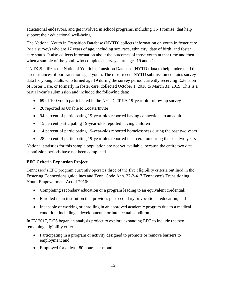educational endeavors, and get involved in school programs, including TN Promise, that help support their educational well-being.

The National Youth in Transition Database (NYTD) collects information on youth in foster care (via a survey) who are 17 years of age, including sex, race, ethnicity, date of birth, and foster care status. It also collects information about the outcomes of those youth at that time and then when a sample of the youth who completed surveys turn ages 19 and 21.

TN DCS utilizes the National Youth in Transition Database (NYTD) data to help understand the circumstances of our transition aged youth. The most recent NYTD submission contains survey data for young adults who turned age 19 during the survey period currently receiving Extension of Foster Care, or formerly in foster care, collected October 1, 2018 to March 31, 2019. This is a partial year's submission and included the following data:

- 69 of 100 youth participated in the NYTD 2019A 19-year-old follow-up survey
- 26 reported as Unable to Locate/Invite
- 94 percent of participating 19-year-olds reported having connections to an adult
- 15 percent participating 19-year-olds reported having children
- 14 percent of participating 19-year-olds reported homelessness during the past two years
- 28 percent of participating 19-year-olds reported incarceration during the past two years

National statistics for this sample population are not yet available, because the entire two data submission periods have not been completed.

# **EFC Criteria Expansion Project**

Tennessee's EFC program currently operates three of the five eligibility criteria outlined in the Fostering Connections guidelines and Tenn. Code Ann. 37-2-417 Tennessee's Transitioning Youth Empowerment Act of 2010:

- Completing secondary education or a program leading to an equivalent credential;
- Enrolled in an institution that provides postsecondary or vocational education; and
- Incapable of working or enrolling in an approved academic program due to a medical condition, including a developmental or intellectual condition.

In FY 2017, DCS began an analysis project to explore expanding EFC to include the two remaining eligibility criteria:

- Participating in a program or activity designed to promote or remove barriers to employment and
- Employed for at least 80 hours per month.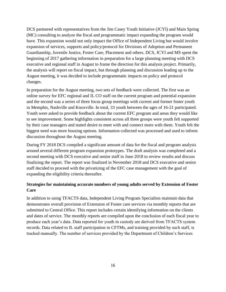DCS partnered with representatives from the Jim Casey Youth Initiative (JCYI) and Main Spring (MC) consulting to analyze the fiscal and programmatic impact expanding the program would have. This expansion would not only impact the Office of Independent Living but would involve expansion of services, supports and policy/protocol for Divisions of Adoption and Permanent Guardianship, Juvenile Justice, Foster Care, Placement and others. DCS, JCYI and MS spent the beginning of 2017 gathering information in preparation for a large planning meeting with DCS executive and regional staff in August to frame the direction for this analysis project. Primarily, the analysis will report on fiscal impact, but through planning and discussion leading up to the August meeting, it was decided to include programmatic impacts on policy and protocol changes.

In preparation for the August meeting, two sets of feedback were collected. The first was an online survey for EFC regional and IL CO staff on the current program and potential expansion and the second was a series of three focus group meetings with current and former foster youth in Memphis, Nashville and Knoxville. In total, 33 youth between the ages of 16-21 participated. Youth were asked to provide feedback about the current EFC program and areas they would like to see improvement. Some highlights consistent across all three groups were youth felt supported by their case managers and stated desire to meet with and connect more with them. Youth felt the biggest need was more housing options. Information collected was processed and used to inform discussion throughout the August meeting.

During FY 2018 DCS compiled a significant amount of data for the fiscal and program analysis around several different program expansion prototypes. The draft analysis was completed and a second meeting with DCS executive and senior staff in June 2018 to review results and discuss finalizing the report. The report was finalized in November 2018 and DCS executive and senior staff decided to proceed with the privatizing of the EFC case management with the goal of expanding the eligibility criteria thereafter.

# **Strategies for maintaining accurate numbers of young adults served by Extension of Foster Care**

In addition to using TFACTS data, Independent Living Program Specialists maintain data that demonstrates overall provision of Extension of Foster care services via monthly reports that are submitted to Central Office. This report includes certain identifying information on the clients and dates of service. The monthly reports are compiled upon the conclusion of each fiscal year to produce each year's data. Data reported for youth in custody are derived from TFACTS system records. Data related to IL staff participation in CFTMs, and training provided by such staff, is tracked manually. The number of services provided by the Department of Children's Services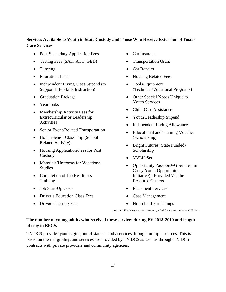# **Services Available to Youth in State Custody and Those Who Receive Extension of Foster Care Services**

- Post-Secondary Application Fees
- Testing Fees (SAT, ACT, GED)
- Tutoring
- Educational fees
- Independent Living Class Stipend (to Support Life Skills Instruction)
- Graduation Package
- Yearbooks
- Membership/Activity Fees for Extracurricular or Leadership **Activities**
- Senior Event-Related Transportation
- Honor/Senior Class Trip (School Related Activity)
- Housing Application/Fees for Post Custody
- Materials/Uniforms for Vocational Studies
- Completion of Job Readiness **Training**
- Job Start-Up Costs
- Driver's Education Class Fees
- Driver's Testing Fees
- Car Insurance
- Transportation Grant
- Car Repairs
- Housing Related Fees
- Tools/Equipment (Technical/Vocational Programs)
- Other Special Needs Unique to Youth Services
- Child Care Assistance
- Youth Leadership Stipend
- Independent Living Allowance
- Educational and Training Voucher (Scholarship)
- Bright Futures (State Funded) Scholarship
- YVLifeSet
- Opportunity Passport™ (per the Jim Casey Youth Opportunities Initiative) - Provided Via the Resource Centers
- Placement Services
- Case Management
- Household Furnishings

*Source: Tennessee Department of Children's Services – TFACTS*

# **The number of young adults who received these services during FY 2018-2019 and length of stay in EFCS.**

TN DCS provides youth aging out of state custody services through multiple sources. This is based on their eligibility, and services are provided by TN DCS as well as through TN DCS contracts with private providers and community agencies.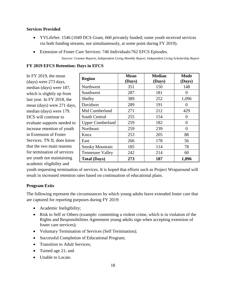# **Services Provided**

- YVLifeSet: 1546 (1049 DCS Grant, 660 privately funded; some youth received services via both funding streams, not simultaneously, at some point during FY 2019).
- Extension of Foster Care Services: 746 Individuals/762 EFCS Episodes.

*Sources: Grantee Reports, Independent Living Monthly Report, Independent Living Scholarship Report*

# **FY 2019 EFCS Retention: Days in EFCS**

In FY 2019, the mean (days) were 273 days, median (days) were 187, which is slightly up from last year. In FY 2018, the mean (days) were 271 days, median (days) were 179. DCS will continue to evaluate supports needed to increase retention of youth in Extension of Foster Services. TN IL does know that the two main reasons for termination of services are youth not maintaining academic eligibility and

| <b>Region</b>           | <b>Mean</b><br>(Days) | <b>Median</b><br>(Days) | <b>Mode</b><br>(Days) |
|-------------------------|-----------------------|-------------------------|-----------------------|
| Northwest               | 351                   | 150                     | 148                   |
| Southwest               | 287                   | 181                     | $\mathbf{\Omega}$     |
| Shelby                  | 389                   | 252                     | 1,096                 |
| Davidson                | 289                   | 191                     | $\mathbf{\Omega}$     |
| Mid Cumberland          | 271                   | 212                     | 429                   |
| South Central           | 255                   | 154                     | 0                     |
| <b>Upper Cumberland</b> | 259                   | 182                     | 0                     |
| Northeast               | 259                   | 239                     | 0                     |
| Knox                    | 253                   | 205                     | 88                    |
| East                    | 266                   | 178                     | 56                    |
| <b>Smoky Mountain</b>   | 185                   | 114                     | 78                    |
| <b>Tennessee Valley</b> | 242                   | 214                     | 60                    |
| <b>Total (Days)</b>     | 273                   | 187                     | 1,096                 |

youth requesting termination of services. It is hoped that efforts such as Project Wraparound will result in increased retention rates based on continuation of educational plans.

# **Program Exits**

The following represent the circumstances by which young adults leave extended foster care that are captured for reporting purposes during FY 2019:

- Academic Ineligibility;
- Risk to Self or Others (example: committing a violent crime, which is in violation of the Rights and Responsibilities Agreement young adults sign when accepting extension of foster care services);
- Voluntary Termination of Services (Self Termination);
- Successful Completion of Educational Program;
- Transition to Adult Services;
- Turned age 21; and
- Unable to Locate.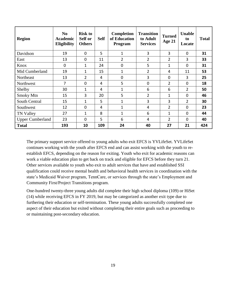| <b>Region</b>           | N <sub>0</sub><br><b>Academic</b><br>Eligibility | <b>Risk to</b><br>Self or<br><b>Others</b> | <b>Self</b> | <b>Completion</b><br>of Education<br>Program | <b>Transition</b><br>to Adult<br><b>Services</b> | <b>Turned</b><br>Age 21 | <b>Unable</b><br>to<br>Locate | <b>Total</b> |
|-------------------------|--------------------------------------------------|--------------------------------------------|-------------|----------------------------------------------|--------------------------------------------------|-------------------------|-------------------------------|--------------|
| Davidson                | 19                                               | $\mathbf 0$                                | 5           | $\mathbf 1$                                  | 3                                                | 3                       | $\mathbf 0$                   | 31           |
| East                    | 13                                               | $\mathbf 0$                                | 11          | $\overline{2}$                               | $\overline{2}$                                   | $\overline{2}$          | 3                             | 33           |
| Knox                    | $\mathbf 0$                                      | 1                                          | 24          | $\mathbf 0$                                  | 5                                                | 1                       | $\mathbf 0$                   | 31           |
| Mid Cumberland          | 19                                               | 1                                          | 15          | 1                                            | $\overline{2}$                                   | 4                       | 11                            | 53           |
| Northeast               | 13                                               | $\overline{2}$                             | 4           | $\mathbf 0$                                  | 3                                                | $\mathbf 0$             | 3                             | 25           |
| Northwest               | 7                                                | $\mathbf 0$                                | 4           | 5                                            | $\mathbf 0$                                      | $\overline{2}$          | 0                             | 18           |
| Shelby                  | 30                                               | 1                                          | 4           | 1                                            | 6                                                | 6                       | $\overline{2}$                | 50           |
| <b>Smoky Mtn</b>        | 15                                               | 3                                          | 20          | 5                                            | $\overline{2}$                                   | 1                       | $\Omega$                      | 46           |
| South Central           | 15                                               | 1                                          | 5           | 1                                            | 3                                                | 3                       | $\overline{2}$                | 30           |
| Southwest               | 12                                               | $\mathbf 0$                                | 4           | $\mathbf{1}$                                 | 4                                                | $\overline{2}$          | $\mathbf 0$                   | 23           |
| <b>TN Valley</b>        | 27                                               | 1                                          | 8           | $\mathbf 1$                                  | 6                                                | 1                       | 0                             | 44           |
| <b>Upper Cumberland</b> | 23                                               | $\Omega$                                   | 5           | 6                                            | 4                                                | $\overline{2}$          | $\Omega$                      | 40           |
| <b>Total</b>            | 193                                              | 10                                         | 109         | 24                                           | 40                                               | 27                      | 21                            | 424          |

The primary support service offered to young adults who exit EFCS is YVLifeSet. YVLifeSet continues working with the youth after EFCS end and can assist working with the youth to reestablish EFCS, depending on the reason for exiting. Youth who exit for academic reasons can work a viable education plan to get back on track and eligible for EFCS before they turn 21. Other services available to youth who exit to adult services that have and established SSI qualification could receive mental health and behavioral health services in coordination with the state's Medicaid Waiver program, TennCare, or services through the state's Employment and Community First/Project Transitions program.

One-hundred twenty-three young adults did complete their high school diploma (109) or HiSet (14) while receiving EFCS in FY 2019, but may be categorized as another exit type due to furthering their education or self-termination. These young adults successfully completed one aspect of their education but exited without completing their entire goals such as proceeding to or maintaining post-secondary education.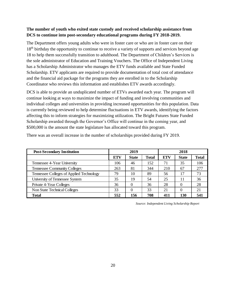# **The number of youth who exited state custody and received scholarship assistance from DCS to continue into post-secondary educational programs during FY 2018-2019.**

The Department offers young adults who were in foster care or who are in foster care on their 18<sup>th</sup> birthday the opportunity to continue to receive a variety of supports and services beyond age 18 to help them successfully transition to adulthood. The Department of Children's Services is the sole administrator of Education and Training Vouchers. The Office of Independent Living has a Scholarship Administrator who manages the ETV funds available and State Funded Scholarship. ETV applicants are required to provide documentation of total cost of attendance and the financial aid package for the programs they are enrolled in to the Scholarship Coordinator who reviews this information and establishes ETV awards accordingly.

DCS is able to provide an unduplicated number of ETVs awarded each year. The program will continue looking at ways to maximize the impact of funding and involving communities and individual colleges and universities in providing increased opportunities for this population. Data is currently being reviewed to help determine fluctuations in ETV awards, identifying the factors affecting this to inform strategies for maximizing utilization. The Bright Futures State Funded Scholarship awarded through the Governor's Office will continue in the coming year, and \$500,000 is the amount the state legislature has allocated toward this program.

| <b>Post-Secondary Institution</b>        |            | 2019         |              | 2018       |              |       |  |
|------------------------------------------|------------|--------------|--------------|------------|--------------|-------|--|
|                                          | <b>ETV</b> | <b>State</b> | <b>Total</b> | <b>ETV</b> | <b>State</b> | Total |  |
| Tennessee 4-Year University              | 106        | 46           | 152          | 71         | 35           | 106   |  |
| <b>Tennessee Community Colleges</b>      | 263        | 81           | 344          | 210        | 67           | 277   |  |
| Tennessee Colleges of Applied Technology | 79         | 10           | 89           | 56         | 17           | 73    |  |
| University of Tennessee System           | 35         | 19           | 54           | 25         | 11           | 36    |  |
| Private 4-Year Colleges                  | 36         |              | 36           | 28         |              | 28    |  |
| Non State Technical Colleges             | 33         |              | 33           | 21         |              | 21    |  |
| <b>Total</b>                             | 552        | 156          | 708          | 411        | 130          | 541   |  |

There was an overall increase in the number of scholarships provided during FY 2019.

*Source: Independent Living Scholarship Report*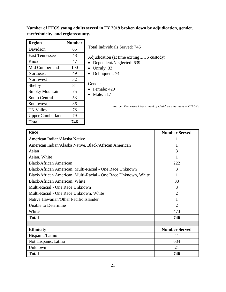**Number of EFCS young adults served in FY 2019 broken down by adjudication, gender, race/ethnicity, and region/county.**

| <b>Region</b>           | <b>Number</b> |                                                              |
|-------------------------|---------------|--------------------------------------------------------------|
| Davidson                | 65            | Total Individuals Served: 746                                |
| <b>East Tennessee</b>   | 48            | Adjudication (at time exiting DCS custody)                   |
| Knox                    | 47            | Dependent/Neglected: 639                                     |
| Mid Cumberland          | 100           | Unruly: 33                                                   |
| <b>Northeast</b>        | 49            | Delinquent: 74                                               |
| Northwest               | 32            |                                                              |
| Shelby                  | 84            | Gender                                                       |
| <b>Smoky Mountain</b>   | 75            | Female: 429<br>Male: 317                                     |
| South Central           | 53            |                                                              |
| Southwest               | 36            | Source: Tennessee Department of Children's Services – TFACTS |
| <b>TN Valley</b>        | 78            |                                                              |
| <b>Upper Cumberland</b> | 79            |                                                              |
| <b>Total</b>            | 746           |                                                              |

| Race                                                           | <b>Number Served</b> |
|----------------------------------------------------------------|----------------------|
| American Indian/Alaska Native                                  |                      |
| American Indian/Alaska Native, Black/African American          |                      |
| Asian                                                          | 3                    |
| Asian, White                                                   |                      |
| <b>Black/African American</b>                                  | 222                  |
| Black/African American, Multi-Racial - One Race Unknown        | 3                    |
| Black/African American, Multi-Racial - One Race Unknown, White | 1                    |
| Black/African American, White                                  | 33                   |
| Multi-Racial - One Race Unknown                                | 3                    |
| Multi-Racial - One Race Unknown, White                         | $\overline{2}$       |
| Native Hawaiian/Other Pacific Islander                         |                      |
| Unable to Determine                                            | $\overline{2}$       |
| White                                                          | 473                  |
| <b>Total</b>                                                   | 746                  |
|                                                                |                      |
| <b>Ethnicity</b>                                               | <b>Number Served</b> |
| Hispanic/Latino                                                | 41                   |
| Not Hispanic/Latino                                            | 684                  |
| Unknown                                                        | 21                   |
| <b>Total</b>                                                   | 746                  |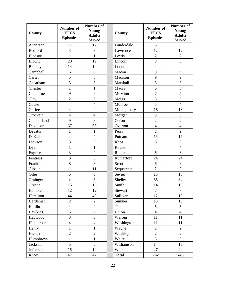| County         | <b>Number of</b><br><b>EFCS</b><br><b>Episodes</b> | <b>Number of</b><br>Young<br><b>Adults</b><br><b>Served</b> | County       | <b>Number of</b><br><b>EFCS</b><br><b>Episodes</b> | Number of<br>Young<br><b>Adults</b><br><b>Served</b> |
|----------------|----------------------------------------------------|-------------------------------------------------------------|--------------|----------------------------------------------------|------------------------------------------------------|
| Anderson       | 17                                                 | 17                                                          | Lauderdale   | 5                                                  | 5                                                    |
| Bedford        | $\overline{3}$                                     | 3                                                           | Lawrence     | 12                                                 | 12                                                   |
| Bledsoe        | $\mathbf{1}$                                       | $\mathbf{1}$                                                | Lewis        | $\overline{2}$                                     | $\overline{2}$                                       |
| <b>Blount</b>  | 20                                                 | 19                                                          | Lincoln      | 3                                                  | 3                                                    |
| <b>Bradley</b> | 14                                                 | 14                                                          | Loudon       | $\overline{4}$                                     | $\overline{4}$                                       |
| Campbell       | 6                                                  | 6                                                           | Macon        | 9                                                  | 9                                                    |
| Carter         | 5                                                  | 5                                                           | Madison      | 9                                                  | 9                                                    |
| Cheatham       | 3                                                  | $\overline{3}$                                              | Marshall     | 5                                                  | 5                                                    |
| Chester        | $\mathbf{1}$                                       | $\mathbf{1}$                                                | Maury        | 6                                                  | 6                                                    |
| Claiborne      | 9                                                  | $8\,$                                                       | McMinn       | $\overline{7}$                                     | $\overline{7}$                                       |
| Clay           | $\overline{2}$                                     | $\sqrt{2}$                                                  | Meigs        | $\overline{3}$                                     | $\overline{3}$                                       |
| Cocke          | $\overline{\mathbf{4}}$                            | $\overline{4}$                                              | Monroe       | 5                                                  | $\overline{4}$                                       |
| Coffee         | $\overline{\mathcal{L}}$                           | $\overline{4}$                                              | Montgomery   | 16                                                 | 16                                                   |
| Crockett       | $\overline{4}$                                     | $\overline{4}$                                              | Morgan       | 3                                                  | 3                                                    |
| Cumberland     | 9                                                  | 8                                                           | Obion        | $\overline{2}$                                     | $\overline{2}$                                       |
| Davidson       | 67                                                 | 65                                                          | Overton      | $\overline{4}$                                     | $\overline{4}$                                       |
| Decatur        | $\mathbf{1}$                                       | $\mathbf{1}$                                                | Perry        | $\overline{2}$                                     | $\overline{2}$                                       |
| DeKalb         | $\overline{4}$                                     | $\overline{4}$                                              | Putnam       | 15                                                 | 15                                                   |
| Dickson        | 3                                                  | 3                                                           | Rhea         | 8                                                  | 8                                                    |
| Dyer           | $\mathbf{1}$                                       | $\mathbf{1}$                                                | Roane        | $\overline{4}$                                     | $\overline{4}$                                       |
| Fayette        | 3                                                  | $\overline{2}$                                              | Robertson    | 6                                                  | 6                                                    |
| Fentress       | $\overline{3}$                                     | $\overline{3}$                                              | Rutherford   | 24                                                 | 24                                                   |
| Franklin       | 8                                                  | 8                                                           | Scott        | 6                                                  | 6                                                    |
| Gibson         | 11                                                 | 11                                                          | Sequatchie   | $\overline{2}$                                     | $\overline{2}$                                       |
| Giles          | 5                                                  | 5                                                           | Sevier       | 15                                                 | 15                                                   |
| Grainger       | $\overline{4}$                                     | $\overline{3}$                                              | Shelby       | 85                                                 | 84                                                   |
| Greene         | 15                                                 | 15                                                          | Smith        | 14                                                 | 13                                                   |
| Hamblen        | 12                                                 | 12                                                          | Stewart      | 7                                                  | 7                                                    |
| Hamilton       | 44                                                 | 43                                                          | Sullivan     | 12                                                 | 12                                                   |
| Hardeman       | $\overline{2}$                                     | $\overline{2}$                                              | Sumner       | 13                                                 | 13                                                   |
| Hardin         | $\overline{\mathbf{4}}$                            | $\overline{4}$                                              | Tipton       | 5                                                  | 5                                                    |
| Hawkins        | 6                                                  | 6                                                           | Union        | $\overline{4}$                                     | $\overline{4}$                                       |
| Haywood        | 3                                                  | 3                                                           | Warren       | 11                                                 | 11                                                   |
| Henderson      | $\overline{\mathbf{4}}$                            | $\overline{4}$                                              | Washington   | 11                                                 | 11                                                   |
| Henry          | 1                                                  | $\mathbf{1}$                                                | Wayne        | $\overline{2}$                                     | $\overline{2}$                                       |
| Hickman        | $\overline{c}$                                     | $\mathbf{2}$                                                | Weakley      | $\overline{c}$                                     | $\overline{2}$                                       |
| Humphreys      | $\mathbf{1}$                                       | $\mathbf{1}$                                                | White        | 5                                                  | 5                                                    |
| Jackson        | 5                                                  | 5                                                           | Williamson   | 14                                                 | 13                                                   |
| Jefferson      | 15                                                 | 14                                                          | Wilson       | 27                                                 | 24                                                   |
| Knox           | 47                                                 | 47                                                          | <b>Total</b> | 762                                                | 746                                                  |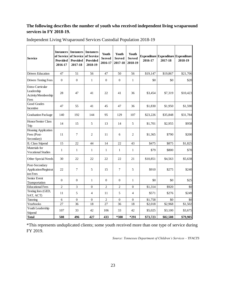# **The following describes the number of youth who received independent living wraparound services in FY 2018-19.**

| <b>Service</b>                                                | <b>Instances</b><br>of Service<br>Provided<br>2016-17 | <b>Instances</b><br>of Service<br><b>Provided</b><br>2017-18 | <b>Instances</b><br>of Service<br>Provided<br>2018-19 | Youth<br><b>Served</b><br>2016-17 | Youth<br><b>Served</b><br>2017-18 | Youth<br><b>Served</b><br>2018-19 | 2016-17  | <b>Expenditure Expenditure Expenditure</b><br>2017-18 | 2018-19  |
|---------------------------------------------------------------|-------------------------------------------------------|--------------------------------------------------------------|-------------------------------------------------------|-----------------------------------|-----------------------------------|-----------------------------------|----------|-------------------------------------------------------|----------|
| <b>Drivers Education</b>                                      | 47                                                    | 51                                                           | 56                                                    | 47                                | 50                                | 56                                | \$19,147 | \$19,867                                              | \$21,706 |
| <b>Drivers Testing Fees</b>                                   | $\mathbf{0}$                                          | $\boldsymbol{0}$                                             | $\mathbf{1}$                                          | $\boldsymbol{0}$                  | $\boldsymbol{0}$                  | $\mathbf{1}$                      | \$0      | \$0                                                   | \$20     |
| Extra-Curricular<br>Leadership<br>Activity/Membership<br>Fees | 28                                                    | 47                                                           | 41                                                    | 22                                | 41                                | 36                                | \$3,454  | \$7,319                                               | \$10,423 |
| <b>Good Grades</b><br>Incentive                               | 47                                                    | 55                                                           | 41                                                    | 45                                | 47                                | 36                                | \$1,830  | \$1,950                                               | \$1,590  |
| <b>Graduation Package</b>                                     | 140                                                   | 192                                                          | 144                                                   | 95                                | 129                               | 107                               | \$23,226 | \$35,848                                              | \$31,784 |
| Honor/Senior Class<br>Trip                                    | 14                                                    | 15                                                           | 5                                                     | 13                                | 14                                | 5                                 | \$1,701  | \$2,955                                               | \$958    |
| <b>Housing Application</b><br>Fees (Post-<br>Secondary)       | 11                                                    | 7                                                            | $\overline{2}$                                        | 11                                | 6                                 | $\overline{2}$                    | \$1,365  | \$790                                                 | \$200    |
| <b>IL Class Stipend</b>                                       | 15                                                    | 22                                                           | 44                                                    | 14                                | 22                                | 43                                | \$475    | \$875                                                 | \$1,825  |
| Materials for<br>Vocational Studies                           | $\mathbf{1}$                                          | 1                                                            | 1                                                     | $\mathbf{1}$                      | $\mathbf{1}$                      | $\mathbf{1}$                      | \$79     | \$800                                                 | \$70     |
| Other Special Needs                                           | 30                                                    | 22                                                           | 22                                                    | 22                                | 22                                | 21                                | \$10,851 | \$4,563                                               | \$5,638  |
| Post-Secondary<br>Application/Registrat<br>ion Fees           | 22                                                    | $\overline{7}$                                               | 5                                                     | 15                                | $\overline{7}$                    | 5                                 | \$910    | \$275                                                 | \$240    |
| Senior Event<br>Transportation                                | $\mathbf{0}$                                          | $\overline{0}$                                               | $\mathbf{1}$                                          | $\mathbf{0}$                      | $\mathbf{0}$                      | $\mathbf{1}$                      | \$0      | \$0                                                   | \$25     |
| <b>Educational Fees</b>                                       | $\overline{c}$                                        | 3                                                            | $\Omega$                                              | $\overline{2}$                    | $\overline{2}$                    | $\Omega$                          | \$1,314  | \$920                                                 | \$0      |
| Testing fees (GED,<br>SAT, ACT)                               | 11                                                    | 5                                                            | $\overline{4}$                                        | 11                                | 5                                 | $\overline{4}$                    | \$571    | \$276                                                 | \$249    |
| Tutoring                                                      | 6                                                     | $\boldsymbol{0}$                                             | $\boldsymbol{0}$                                      | $\mathbf{2}$                      | $\boldsymbol{0}$                  | $\mathbf{0}$                      | \$1,758  | \$0                                                   | \$0      |
| Yearbooks                                                     | 27                                                    | 36                                                           | 18                                                    | 27                                | 36                                | 18                                | \$2,018  | \$2,968                                               | \$1,502  |
| Youth Leadership<br>Stipend                                   | 107                                                   | 33                                                           | 42                                                    | 106                               | 33                                | 42                                | \$5,025  | \$3,100                                               | \$3,675  |
| <b>Total</b>                                                  | 508                                                   | 496                                                          | 427                                                   | 433                               | *300                              | $*291$                            | \$73,723 | \$82,508                                              | \$79,905 |

Independent Living Wraparound Services Custodial Population 2018-19

\*This represents unduplicated clients; some youth received more than one type of service during FY 2019.

*Source: Tennessee Department of Children's Services – TFACTS*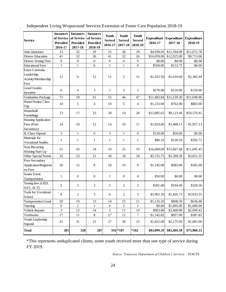| <b>Service</b>                                                | <b>Instances</b><br>of Service<br><b>Provided</b><br>2016-17 | <b>Instances</b><br>of Service<br><b>Provided</b><br>2017-18 | <b>Instances</b><br>of Service<br><b>Provided</b><br>2018-19 | Youth<br><b>Served</b><br>2016-17 | Youth<br><b>Served</b><br>2017-18 | Youth<br><b>Served</b><br>2018-19 | 2016-17     | Expenditure Expenditure<br>2017-18 | <b>Expenditure</b><br>2018-19 |
|---------------------------------------------------------------|--------------------------------------------------------------|--------------------------------------------------------------|--------------------------------------------------------------|-----------------------------------|-----------------------------------|-----------------------------------|-------------|------------------------------------|-------------------------------|
| Auto Insurance                                                | 15                                                           | 32                                                           | 29                                                           | 15                                | 30                                | 29                                | \$4,939.02  | \$11,594.99                        | \$11,072.78                   |
| <b>Drivers Education</b>                                      | 41                                                           | 32                                                           | 26                                                           | 41                                | 32                                | 26                                | \$16,059.00 | \$12,925.00                        | \$9,713.00                    |
| <b>Drivers Testing Fees</b>                                   | $\boldsymbol{0}$                                             | $\boldsymbol{0}$                                             | $\boldsymbol{0}$                                             | $\boldsymbol{0}$                  | $\boldsymbol{0}$                  | $\boldsymbol{0}$                  | \$0.00      | \$0.00                             | \$0.00                        |
| <b>Educational Fees</b>                                       | $\mathbf{1}$                                                 | $\mathbf{1}$                                                 | $\overline{0}$                                               | $\mathbf{1}$                      | $\mathbf{1}$                      | $\overline{0}$                    | \$500.00    | \$153.75                           | \$0.00                        |
| Extra-Curricular<br>Leadership<br>Activity/Membership<br>Fees | 12                                                           | 6                                                            | 12                                                           | 11                                | 5                                 | 11                                | \$1,432.50  | \$1,010.00                         | \$2,385.94                    |
| <b>Good Grades</b><br>Incentive                               | 6                                                            | 4                                                            | 3                                                            | 5                                 | 2                                 | 3                                 | \$270.00    | \$120.00                           | \$150.00                      |
| <b>Graduation Package</b>                                     | 71                                                           | 59                                                           | 61                                                           | 55                                | 46                                | 47                                | \$11,483.84 | \$11,220.30                        | \$11,040.86                   |
| Honor/Senior Class<br>Trip                                    | 10                                                           | 5                                                            | $\overline{4}$                                               | 10                                | 5                                 | 4                                 | \$1,233.00  | \$762.00                           | \$803.00                      |
| Household<br>Furnishings                                      | 23                                                           | 17                                                           | 23                                                           | 20                                | 14                                | 20                                | \$12,085.62 | \$9,123.46                         | \$10,576.81                   |
| Housing Application<br>Fees (Post-<br>Secondary)              | 14                                                           | 10                                                           | 12                                                           | 14                                | 10                                | 11                                | \$1,929.00  | \$3,488.13                         | \$1,957.13                    |
| <b>IL Class Stipend</b>                                       | $\mathfrak{Z}$                                               | $\,1$                                                        | $\boldsymbol{0}$                                             | $\mathfrak{Z}$                    | $\mathbf{1}$                      | $\boldsymbol{0}$                  | \$150.00    | \$50.00                            | \$0.00                        |
| Materials for<br><b>Vocational Studies</b>                    | $\mathbf{1}$                                                 | $\mathbf{1}$                                                 | $\mathbf{1}$                                                 | 1                                 | $\mathbf{1}$                      | $\mathbf{1}$                      | \$86.16     | \$120.50                           | \$592.72                      |
| Non-Recurring<br>Housing Start Up                             | 31                                                           | 43                                                           | 24                                                           | 19                                | 25                                | 19                                | \$16,600.69 | \$15,667.48                        | \$11,695.45                   |
| Other Special Needs                                           | 32                                                           | 23                                                           | 21                                                           | 30                                | 18                                | 18                                | \$5,725.75  | \$5,399.38                         | \$3,651.35                    |
| Post-Secondary<br>Application/Registrati<br>on Fees           | 26                                                           | 15                                                           | 8                                                            | 18                                | 10                                | 8                                 | \$1,145.00  | \$983.00                           | \$585.00                      |
| Senior Event<br>Transportation                                | 1                                                            | $\boldsymbol{0}$                                             | $\boldsymbol{0}$                                             | 1                                 | $\boldsymbol{0}$                  | $\boldsymbol{0}$                  | \$50.00     | \$0.00                             | \$0.00                        |
| Testing fees (GED,<br>SAT, ACT)                               | 5                                                            | 2                                                            | 3                                                            | 5                                 | $\overline{2}$                    | 3                                 | \$381.00    | \$194.00                           | \$320.50                      |
| <b>Tools for Vocational</b><br>School                         | 8                                                            | $\overline{c}$                                               | 3                                                            | 6                                 | $\mathbf{2}$                      | 3                                 | \$3,962.39  | \$1,426.73                         | \$3,033.35                    |
| <b>Transportation Grant</b>                                   | 20                                                           | 19                                                           | 13                                                           | 14                                | 15                                | 11                                | \$1,135.50  | \$898.50                           | \$636.00                      |
| Tutoring                                                      | $\boldsymbol{0}$                                             | $\overline{2}$                                               | $\mathbf{1}$                                                 | $\mathbf{0}$                      | $\overline{2}$                    | 1                                 | \$0.00      | \$1,895.00                         | \$1,000.00                    |
| Vehicle Repairs                                               | 3                                                            | 12                                                           | 14                                                           | 3                                 | 11                                | 14                                | \$963.00    | \$3,400.08                         | \$5,099.43                    |
| Yearbooks                                                     | 17                                                           | 11                                                           | $8\,$                                                        | 17                                | 11                                | $\overline{7}$                    | \$1,142.82  | \$857.00                           | \$587.83                      |
| Youth Leadership<br>Stipend                                   | 41                                                           | 31                                                           | 21                                                           | 27                                | 28                                | 15                                | \$1,825.00  | \$2,175.00                         | \$1,065.00                    |
| <b>Total</b>                                                  | 381                                                          | 328                                                          | 287                                                          |                                   | 316 *187                          | $*162$                            | \$83,099.29 | \$83,464.30                        | \$75,966.15                   |

Independent Living Wraparound Services Extension of Foster Care Population 2018-19

\*This represents unduplicated clients; some youth received more than one type of service during FY 2019.

*Source: Tennessee Department of Children's Services – TFACTS*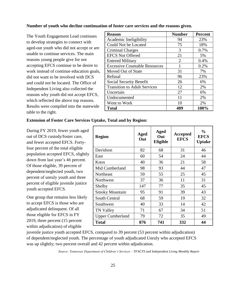#### **Number of youth who decline continuation of foster care services and the reasons given.**

The Youth Engagement Lead continues to develop strategies to connect with aged-out youth who did not accept or are unable to continue services. The main reasons young people give for not accepting EFCS continue to be desire to work instead of continue education goals, did not want to be involved with DCS and could not be located. The Office of Independent Living also collected the reasons why youth did not accept EFCS, which reflected the above top reasons. Results were compiled into the statewide table to the right.

| <b>Reason</b>                        | <b>Number</b> | <b>Percent</b> |
|--------------------------------------|---------------|----------------|
| Academic Ineligibility               | 94            | 23%            |
| Could Not be Located                 | 75            | 18%            |
| Criminal Charges                     | 3             | 0.7%           |
| <b>EFCS Not Offered</b>              | 21            | 5%             |
| <b>Entered Military</b>              | 2             | 0.4%           |
| <b>Excessive Countable Resources</b> |               | 0.2%           |
| Moved Out of State                   | 31            | 7%             |
| Refusal                              | 96            | 23%            |
| Social Security Benefit              | 26            | 6%             |
| <b>Transition to Adult Services</b>  | 12            | 2%             |
| Uncertain                            | 27            | 6%             |
| Undocumented                         | 11            | 2%             |
| Went to Work                         | 10            | 2%             |
| Total                                | 409           | 100%           |

#### **Extension of Foster Care Services Uptake, Total and by Region:**

During FY 2019, fewer youth aged out of DCS custody/foster care, and fewer accepted EFCS. Fortyfour percent of the total eligible population accepted EFCS, slightly down from last year's 46 percent. Of those eligible, 39 percent of dependent/neglected youth, two percent of unruly youth and three percent of eligible juvenile justice youth accepted EFCS.

One group that remains less likely to accept EFCS is those who are adjudicated delinquent. Of all those eligible for EFCS in FY 2019, three percent (15 percent within adjudication) of eligible

| <b>Region</b>           | Aged<br>Out | Aged<br>Out<br>Eligible | Accepted<br><b>EFCS</b> | $\frac{6}{9}$<br><b>EFCS</b><br><b>Uptake</b> |
|-------------------------|-------------|-------------------------|-------------------------|-----------------------------------------------|
| Davidson                | 82          | 68                      | 31                      | 46                                            |
| East                    | 60          | 54                      | 24                      | 44                                            |
| Knox                    | 40          | 36                      | 21                      | 58                                            |
| Mid Cumberland          | 98          | 93                      | 44                      | 47                                            |
| Northeast               | 59          | 55                      | 25                      | 45                                            |
| Northwest               | 37          | 36                      | 11                      | 31                                            |
| Shelby                  | 147         | 77                      | 35                      | 45                                            |
| <b>Smoky Mountain</b>   | 95          | 91                      | 39                      | 43                                            |
| South Central           | 68          | 59                      | 19                      | 32                                            |
| Southwest               | 40          | 33                      | 14                      | 42                                            |
| <b>TN Valley</b>        | 71          | 67                      | 34                      | 51                                            |
| <b>Upper Cumberland</b> | 79          | 72                      | 35                      | 49                                            |
| <b>Total</b>            | 876         | 741                     | 332                     | 44                                            |

juvenile justice youth accepted EFCS, compared to 39 percent (53 percent within adjudication) of dependent/neglected youth. The percentage of youth adjudicated Unruly who accepted EFCS was up slightly; two percent overall and 42 percent within adjudication.

*Source: Tennessee Department of Children's Services – TFACTS and Independent Living Monthly Report*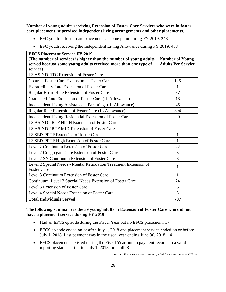**Number of young adults receiving Extension of Foster Care Services who were in foster care placement, supervised independent living arrangements and other placements.**

- EFC youth in foster care placements at some point during FY 2019: 248
- EFC youth receiving the Independent Living Allowance during FY 2019: 433

| <b>EFCS Placement Service FY 2019</b>                                                   |                           |
|-----------------------------------------------------------------------------------------|---------------------------|
| (The number of services is higher than the number of young adults                       | <b>Number of Young</b>    |
| served because some young adults received more than one type of                         | <b>Adults Per Service</b> |
| service)                                                                                |                           |
| L3 AS-ND RTC Extension of Foster Care                                                   | $\overline{2}$            |
| <b>Contract Foster Care Extension of Foster Care</b>                                    | 125                       |
| <b>Extraordinary Rate Extension of Foster Care</b>                                      | 1                         |
| Regular Board Rate Extension of Foster Care                                             | 87                        |
| Graduated Rate Extension of Foster Care (IL Allowance)                                  | 18                        |
| Independent Living Assistance - Parenting (IL Allowance)                                | 45                        |
| Regular Rate Extension of Foster Care (IL Allowance)                                    | 394                       |
| Independent Living Residential Extension of Foster Care                                 | 99                        |
| L3 AS-ND PRTF HIGH Extension of Foster Care                                             | $\overline{2}$            |
| L3 AS-ND PRTF MID Extension of Foster Care                                              | $\overline{4}$            |
| L3 SED-PRTF Extension of foster Care                                                    | 1                         |
| L3 SED-PRTF High Extension of Foster Care                                               | 1                         |
| Level 2 Continuum Extension of Foster Care                                              | 22                        |
| Level 2 Congregate Care Extension of Foster Care                                        | 3                         |
| Level 2 SN Continuum Extension of Foster Care                                           | 8                         |
| Level 2 Special Needs - Mental Retardation Treatment Extension of<br><b>Foster Care</b> | $\mathbf{1}$              |
| Level 3 Continuum Extension of Foster Care                                              |                           |
|                                                                                         | 1                         |
| Continuum: Level 3 Special Needs Extension of Foster Care                               | 24                        |
| Level 3 Extension of Foster Care                                                        | 6                         |
| Level 4 Special Needs Extension of Foster Care                                          | 5                         |
| <b>Total Individuals Served</b>                                                         | 707                       |

# **The following summarizes the 39 young adults in Extension of Foster Care who did not have a placement service during FY 2019:**

- Had an EFCS episode during the Fiscal Year but no EFCS placement: 17
- EFCS episode ended on or after July 1, 2018 and placement service ended on or before July 1, 2018. Last payment was in the fiscal year ending June 30, 2018: 14
- EFCS placements existed during the Fiscal Year but no payment records in a valid reporting status until after July 1, 2018, or at all: 8

*Source: Tennessee Department of Children's Services – TFACTS*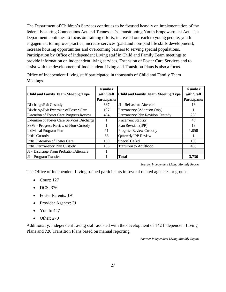The Department of Children's Services continues to be focused heavily on implementation of the federal Fostering Connections Act and Tennessee's Transitioning Youth Empowerment Act. The Department continues to focus on training efforts, increased outreach to young people; youth engagement to improve practice, increase services (paid and non-paid life skills development); increase housing opportunities and overcoming barriers to serving special populations. Participation by Office of Independent Living staff in Child and Family Team meetings to provide information on independent living services, Extension of Foster Care Services and to assist with the development of Independent Living and Transition Plans is also a focus.

| Office of Independent Living staff participated in thousands of Child and Family Team |  |
|---------------------------------------------------------------------------------------|--|
| Meetings.                                                                             |  |

| <b>Child and Family Team Meeting Type</b>          | <b>Number</b><br>with Staff<br><b>Participants</b> | <b>Child and Family Team Meeting Type</b> | <b>Number</b><br>with Staff<br><b>Participants</b> |
|----------------------------------------------------|----------------------------------------------------|-------------------------------------------|----------------------------------------------------|
| Discharge/Exit Custody                             | 637                                                | <b>JJ</b> - Release to Aftercare          | 13                                                 |
| Discharge/Exit Extension of Foster Care            | 197                                                | Permanency (Adoption Only)                |                                                    |
| <b>Extension of Foster Care Progress Review</b>    | 494                                                | Permanency Plan Revision Custody          | 233                                                |
| <b>Extension of Foster Care Services Discharge</b> |                                                    | <b>Placement Stability</b>                | 40                                                 |
| FSW - Progress Review of Non-Custody               |                                                    | Plan Revision (IPP)                       | 13                                                 |
| Individual Program Plan                            | 51                                                 | Progress Review Custody                   | 1,058                                              |
| <b>Initial Custody</b>                             | 68                                                 | Quarterly IPP Review                      |                                                    |
| Initial Extension of Foster Care                   | 150                                                | Special Called                            | 108                                                |
| <b>Initial Permanency Plan Custody</b>             | 183                                                | <b>Transition to Adulthood</b>            | 485                                                |
| JJ - Discharge From Probation/Aftercare            |                                                    |                                           |                                                    |
| JJ - Program Transfer                              |                                                    | <b>Total</b>                              | 3,736                                              |

*Source: Independent Living Monthly Report*

The Office of Independent Living trained participants in several related agencies or groups.

- Court: 127
- DCS: 376
- Foster Parents: 191
- Provider Agency: 31
- Youth: 447
- Other: 270

Additionally, Independent Living staff assisted with the development of 142 Independent Living Plans and 720 Transition Plans based on manual reporting.

*Source: Independent Living Monthly Report*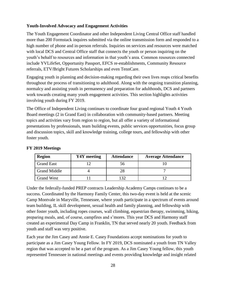#### **Youth-Involved Advocacy and Engagement Activities**

The Youth Engagement Coordinator and other Independent Living Central Office staff handled more than 200 Formstack inquires submitted via the online transmission form and responded to a high number of phone and in-person referrals. Inquiries on services and resources were matched with local DCS and Central Office staff that connects the youth or person inquiring on the youth's behalf to resources and information in that youth's area. Common resources connected include YVLifeSet, Opportunity Passport, EFCS re-establishments, Community Resource referrals, ETV/Bright Futures Scholarships and even TennCare.

Engaging youth in planning and decision-making regarding their own lives reaps critical benefits throughout the process of transitioning to adulthood. Along with the ongoing transition planning, normalcy and assisting youth in permanency and preparation for adulthoods, DCS and partners work towards creating many youth engagement activities. This section highlights activities involving youth during FY 2019.

The Office of Independent Living continues to coordinate four grand regional Youth 4 Youth Board meetings (2 in Grand East) in collaboration with community-based partners. Meeting topics and activities vary from region to region, but all offer a variety of informational presentations by professionals, team building events, public services opportunities, focus group and discussion topics, skill and knowledge training, college tours, and fellowship with other foster youth.

| <b>Region</b>       | Y4Y meeting | <b>Attendance</b> | <b>Average Attendance</b> |
|---------------------|-------------|-------------------|---------------------------|
| <b>Grand East</b>   |             | ახ                |                           |
| <b>Grand Middle</b> |             |                   |                           |
| <b>Grand West</b>   |             |                   |                           |

#### **FY 2019 Meetings**

Under the federally-funded PREP contracts Leadership Academy Camps continues to be a success. Coordinated by the Harmony Family Center, this two-day event is held at the scenic Camp Montvale in Maryville, Tennessee, where youth participate in a spectrum of events around team building, IL skill development, sexual health and family planning, and fellowship with other foster youth, including ropes courses, wall climbing, equestrian therapy, swimming, hiking, preparing meals, and, of course, campfires and s'mores. This year DCS and Harmony staff created an experimental Day Camp in Franklin, TN that served nearly 20 youth. Feedback from youth and staff was very positive.

Each year the Jim Casey and Annie E. Casey Foundations accept nominations for youth to participate as a Jim Casey Young Fellow. In FY 2019, DCS nominated a youth from TN Valley region that was accepted to be a part of the program. As a Jim Casey Young fellow, this youth represented Tennessee in national meetings and events providing knowledge and insight related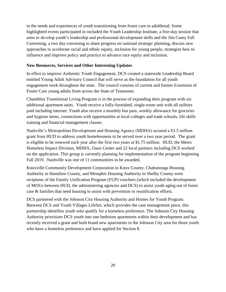to the needs and experiences of youth transitioning from foster care to adulthood. Some highlighted events participated in included the Youth Leadership Institute, a five-day session that aims to develop youth's leadership and professional development skills and the Jim Casey Fall Convening, a two day convening to share progress on national strategic planning, discuss new approaches to accelerate racial and ethnic equity, inclusion for young people, strategize how to influence and improve policy and practice to advance race equity and inclusion.

#### **New Resources, Services and Other Interesting Updates**

In effort to improve Authentic Youth Engagement, DCS created a statewide Leadership Board entitled Young Adult Advisory Council that will serve as the foundation for all youth engagement work throughout the state. The council consists of current and former Extension of Foster Care young adults from across the State of Tennessee.

Chambliss Transitional Living Program is in the process of expanding their program with six additional apartment units. Youth receive a fully-furnished, single-room unit with all utilities paid including internet. Youth also receive a monthly bus pass, weekly allowance for groceries and hygiene items, connections with opportunities at local colleges and trade schools, life skills training and financial management classes.

Nashville's Metropolitan Development and Housing Agency (MDHA) secured a \$3.5 million grant from HUD to address youth homelessness to be served over a two year period. The grant is eligible to be renewed each year after the first two years at \$1.75 million. HUD, the Metro Homeless Impact Division, MDHA, Oasis Center and 22 local partners including DCS worked on the application. This group is currently planning for implementation of the program beginning Fall 2019. Nashville was one of 11 communities to be awarded.

Knoxville Community Development Corporation in Knox County, Chattanooga Housing Authority in Hamilton County, and Memphis Housing Authority in Shelby County were recipients of the Family Unification Program (FUP) vouchers (which included the development of MOUs between HUD, the administering agencies and DCS) to assist youth aging out of foster care & families that need housing to assist with prevention or reunification efforts.

DCS partnered with the Johnson City Housing Authority and Homes for Youth Program. Between DCS and Youth Villages LifeSet, which provides the case management piece, this partnership identifies youth who qualify for a homeless preference. The Johnson City Housing Authority prioritizes DCS youth into one bedroom apartments within their development and has recently received a grant and built brand new apartments in the Johnson City area for those youth who have a homeless preference and have applied for Section 8.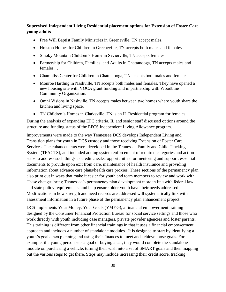**Supervised Independent Living Residential placement options for Extension of Foster Care young adults** 

- Free Will Baptist Family Ministries in Greeneville, TN accept males.
- Holston Homes for Children in Greeneville, TN accepts both males and females
- Smoky Mountain Children's Home in Sevierville, TN accepts females.
- Partnership for Children, Families, and Adults in Chattanooga, TN accepts males and females. .
- Chambliss Center for Children in Chattanooga, TN accepts both males and females.
- Monroe Harding in Nashville, TN accepts both males and females. They have opened a new housing site with VOCA grant funding and in partnership with Woodbine Community Organization.
- Omni Visions in Nashville, TN accepts males between two homes where youth share the kitchen and living space.
- TN Children's Homes in Clarksville, TN is an IL Residential program for females.

During the analysis of expanding EFC criteria, IL and senior staff discussed options around the structure and funding status of the EFCS Independent Living Allowance program.

Improvements were made to the way Tennessee DCS develops Independent Living and Transition plans for youth in DCS custody and those receiving Extension of Foster Care Services. The enhancements were developed in the Tennessee Family and Child Tracking System (TFACTS), and included adding system enforcement of required categories and action steps to address such things as credit checks, opportunities for mentoring and support, essential documents to provide upon exit from care, maintenance of health insurance and providing information about advance care plans/health care proxies. These sections of the permanency plan also print out in ways that make it easier for youth and team members to review and work with. These changes bring Tennessee's permanency plan development more in line with federal law and state policy requirements, and help ensure older youth have their needs addressed. Modifications in how strength and need records are addressed will systematically link with assessment information in a future phase of the permanency plan enhancement project.

DCS implements Your Money, Your Goals (YMYG), a financial empowerment training designed by the Consumer Financial Protection Bureau for social service settings and those who work directly with youth including case managers, private provider agencies and foster parents. This training is different from other financial trainings in that it uses a financial empowerment approach and includes a number of standalone modules. It is designed to start by identifying a youth's goals then planning and using their finances to meet and achieve those goals. For example, if a young person sets a goal of buying a car, they would complete the standalone module on purchasing a vehicle, turning their wish into a set of SMART goals and then mapping out the various steps to get there. Steps may include increasing their credit score, tracking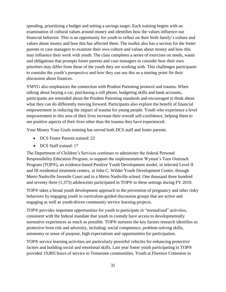spending, prioritizing a budget and setting a savings target. Each training begins with an examination of cultural values around money and identifies how the values influence our financial behavior. This is an opportunity for youth to reflect on their birth family's culture and values about money and how this has affected them. The toolkit also has a section for the foster parents or case managers to examine their own culture and values about money and how this may influence their work with youth. The class completes a series of exercises on needs, wants and obligations that prompts foster parents and case managers to consider how their own priorities may differ from those of the youth they are working with. This challenges participants to consider the youth's perspective and how they can use this as a starting point for their discussion about finances.

YMYG also emphasizes the connection with Prudent Parenting protocol and trauma. When talking about buying a car, purchasing a cell phone, budgeting skills and bank accounts, participants are reminded about the Prudent Parenting standards and encouraged to think about what they can do differently moving forward. Participants also explore the benefit of financial empowerment in reducing the impact of trauma for young people. Youth who experience a level empowerment in this area of their lives increase their overall self-confidence, helping them to see positive aspects of their lives other than the trauma they have experienced.

Your Money Your Goals training has served both DCS staff and foster parents.

- DCS Foster Parents trained: 22
- DCS Staff trained: 17

The Department of Children's Services continues to administer the federal Personal Responsibility Education Program, to support the implementation Wyman's Teen Outreach Program (TOP®), an evidence-based Positive Youth Development model, in selected Level II and III residential treatment centers, at John C. Wilder Youth Development Center, through Metro Nashville Juvenile Court and in a Metro Nashville school. One thousand three hundred and seventy three (1,373) adolescents participated in TOP® in these settings during FY 2019.

TOP® takes a broad youth development approach to the prevention of pregnancy and other risky behaviors by engaging youth in curriculum-guided discussion groups that are active and engaging as well as youth-driven community service learning projects.

TOP® provides important opportunities for youth to participate in "normalized" activities, consistent with the federal mandate that youth in custody have access to developmentally normative experiences as much as possible. TOP® nurtures the key factors research identifies as protective from risk and adversity, including: social competence, problem-solving skills, autonomy or sense of purpose, high expectations and opportunities for participation.

TOP® service learning activities are particularly powerful vehicles for enhancing protective factors and building social and emotional skills. Last year foster youth participating in TOP® provided 19,805 hours of service to Tennessee communities. Youth at Florence Crittenton in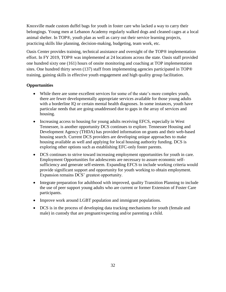Knoxville made custom duffel bags for youth in foster care who lacked a way to carry their belongings. Young men at Lebanon Academy regularly walked dogs and cleaned cages at a local animal shelter. In TOP®, youth plan as well as carry out their service learning projects, practicing skills like planning, decision-making, budgeting, team work, etc.

Oasis Center provides training, technical assistance and oversight of the TOP® implementation effort. In FY 2019, TOP® was implemented at 24 locations across the state. Oasis staff provided one hundred sixty one (161) hours of onsite monitoring and coaching at TOP implementation sites. One hundred thirty seven (137) staff from implementing agencies participated in TOP® training, gaining skills in effective youth engagement and high quality group facilitation.

# **Opportunities**

- While there are some excellent services for some of the state's more complex youth, there are fewer developmentally appropriate services available for those young adults with a borderline IQ or certain mental health diagnoses. In some instances, youth have particular needs that are going unaddressed due to gaps in the array of services and housing.
- Increasing access to housing for young adults receiving EFCS, especially in West Tennessee, is another opportunity DCS continues to explore. Tennessee Housing and Development Agency (THDA) has provided information on grants and their web-based housing search. Current DCS providers are developing unique approaches to make housing available as well and applying for local housing authority funding. DCS is exploring other options such as establishing EFC-only foster parents.
- DCS continues to strive toward increasing employment opportunities for youth in care. Employment Opportunities for adolescents are necessary to assure economic selfsufficiency and generate self-esteem. Expanding EFCS to include working criteria would provide significant support and opportunity for youth working to obtain employment. Expansion remains DCS' greatest opportunity.
- Integrate preparation for adulthood with improved, quality Transition Planning to include the use of peer support young adults who are current or former Extension of Foster Care participants.
- Improve work around LGBT population and immigrant populations.
- DCS is in the process of developing data tracking mechanisms for youth (female and male) in custody that are pregnant/expecting and/or parenting a child.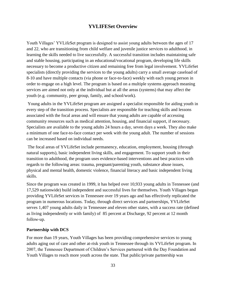# **YVLIFESet Overview**

Youth Villages' YVLifeSet program is designed to assist young adults between the ages of 17 and 22, who are transitioning from child welfare and juvenile justice services to adulthood, in learning the skills needed to live successfully. A successful transition includes maintaining safe and stable housing, participating in an educational/vocational program, developing life skills necessary to become a productive citizen and remaining free from legal involvement. YVLifeSet specialists (directly providing the services to the young adults) carry a small average caseload of 8-10 and have multiple contacts (via phone or face-to-face) weekly with each young person in order to engage on a high level. The program is based on a multiple systems approach meaning services are aimed not only at the individual but at all the areas (systems) that may affect the youth (e.g. community, peer group, family, and school/work).

Young adults in the YVLifeSet program are assigned a specialist responsible for aiding youth in every step of the transition process. Specialists are responsible for teaching skills and lessons associated with the focal areas and will ensure that young adults are capable of accessing community resources such as medical attention, housing, and financial support, if necessary. Specialists are available to the young adults 24 hours a day, seven days a week. They also make a minimum of one face-to-face contact per week with the young adult. The number of sessions can be increased based on individual needs.

The focal areas of YVLifeSet include permanency, education, employment, housing (through natural supports), basic independent living skills, and engagement. To support youth in their transition to adulthood, the program uses evidence-based interventions and best practices with regards to the following areas: trauma, pregnant/parenting youth, substance abuse issues, physical and mental health, domestic violence, financial literacy and basic independent living skills.

Since the program was created in 1999, it has helped over 10,933 young adults in Tennessee (and 17,529 nationwide) build independent and successful lives for themselves. Youth Villages began providing YVLifeSet services in Tennessee over 19 years ago and has effectively replicated the program in numerous locations. Today, through direct services and partnerships, YVLifeSet serves 1,407 young adults daily in Tennessee and eleven other states, with a success rate (defined as living independently or with family) of 85 percent at Discharge, 92 percent at 12 month follow-up.

#### **Partnership with DCS**

For more than 19 years, Youth Villages has been providing comprehensive services to young adults aging out of care and other at-risk youth in Tennessee through its YVLifeSet program. In 2007, the Tennessee Department of Children's Services partnered with the Day Foundation and Youth Villages to reach more youth across the state. That public/private partnership was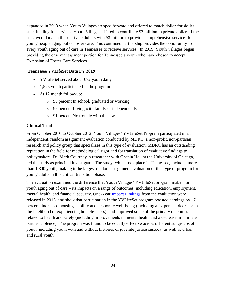expanded in 2013 when Youth Villages stepped forward and offered to match dollar-for-dollar state funding for services. Youth Villages offered to contribute \$3 million in private dollars if the state would match those private dollars with \$3 million to provide comprehensive services for young people aging out of foster care. This continued partnership provides the opportunity for every youth aging out of care in Tennessee to receive services. In 2019, Youth Villages began providing the case management portion for Tennessee's youth who have chosen to accept Extension of Foster Care Services.

#### **Tennessee YVLifeSet Data FY 2019**

- YVLifeSet served about 672 youth daily
- 1,575 youth participated in the program
- At 12 month follow-up:
	- o 93 percent In school, graduated or working
	- o 92 percent Living with family or independently
	- o 91 percent No trouble with the law

#### **Clinical Trial**

From October 2010 to October 2012, Youth Villages' YVLifeSet Program participated in an independent, random assignment evaluation conducted by MDRC, a non-profit, non-partisan research and policy group that specializes in this type of evaluation. MDRC has an outstanding reputation in the field for methodological rigor and for translation of evaluative findings to policymakers. Dr. Mark Courtney, a researcher with Chapin Hall at the University of Chicago, led the study as principal investigator. The study, which took place in Tennessee, included more than 1,300 youth, making it the largest random assignment evaluation of this type of program for young adults in this critical transition phase.

The evaluation examined the difference that Youth Villages' YVLifeSet program makes for youth aging out of care – its impacts on a range of outcomes, including education, employment, mental health, and financial security. One-Year [Impact Findings](http://www.mdrc.org/sites/default/files/Becoming_Adults_ES.pdf) from the evaluation were released in 2015, and show that participation in the YVLifeSet program boosted earnings by 17 percent, increased housing stability and economic well-being (including a 22 percent decrease in the likelihood of experiencing homelessness), and improved some of the primary outcomes related to health and safety (including improvements in mental health and a decrease in intimate partner violence). The program was found to be equally effective across different subgroups of youth, including youth with and without histories of juvenile justice custody, as well as urban and rural youth.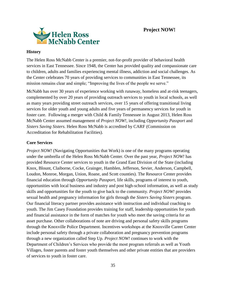

#### **History**

The Helen Ross McNabb Center is a premier, not-for-profit provider of behavioral health services in East Tennessee. Since 1948, the Center has provided quality and compassionate care to children, adults and families experiencing mental illness, addiction and social challenges. As the Center celebrates 70 years of providing services to communities in East Tennessee, its mission remains clear and simple; "Improving the lives of the people we serve."

McNabb has over 30 years of experience working with runaway, homeless and at-risk teenagers, complemented by over 20 years of providing outreach services to youth in local schools, as well as many years providing street outreach services, over 15 years of offering transitional living services for older youth and young adults and five years of permanency services for youth in foster care. Following a merger with Child & Family Tennessee in August 2013, Helen Ross McNabb Center assumed management of *Project NOW!*, including *Opportunity Passport* and *Sisters Saving Sisters*. Helen Ross McNabb is accredited by CARF (Commission on Accreditation for Rehabilitation Facilities).

# **Core Services**

*Project NOW!* (Navigating Opportunities that Work) is one of the many programs operating under the umbrella of the Helen Ross McNabb Center. Over the past year, *Project NOW!* has provided Resource Center services to youth in the Grand East Division of the State (including Knox, Blount, Claiborne, Cocke, Grainger, Hamblen, Jefferson, Sevier, Anderson, Campbell, Loudon, Monroe, Morgan, Union, Roane, and Scott counties). The Resource Center provides financial education through *Opportunity Passport*, life skills, programs of interest to youth, opportunities with local business and industry and post high-school information, as well as study skills and opportunities for the youth to give back to the community. *Project NOW!* provides sexual health and pregnancy information for girls through the *Sisters Saving Sisters* program. Our financial literacy partner provides assistance with instruction and individual coaching to youth. The Jim Casey Foundation provides training for staff, leadership opportunities for youth and financial assistance in the form of matches for youth who meet the saving criteria for an asset purchase. Other collaborations of note are driving and personal safety skills programs through the Knoxville Police Department. Incentives workshops at the Knoxville Career Center include personal safety through a private collaboration and pregnancy prevention programs through a new organization called Step Up. *Project NOW!* continues to work with the Department of Children's Services who provide the most program referrals as well as Youth Villages, foster parents and foster youth themselves and other private entities that are providers of services to youth in foster care.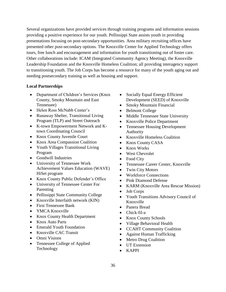Several organizations have provided services through training programs and information sessions providing a positive experience for our youth. Pellissippi State assists youth in providing presentations focusing on post-secondary opportunities. Area military recruiting offices have presented other post-secondary options. The Knoxville Center for Applied Technology offers tours, free lunch and encouragement and information for youth transitioning out of foster care. Other collaborations include: ICAM (Integrated Community Agency Meeting), the Knoxville Leadership Foundation and the Knoxville Homeless Coalition; all providing interagency support to transitioning youth. The Job Corps has become a resource for many of the youth aging out and needing postsecondary training as well as housing and support.

# **Local Partnerships**

- Department of Children's Services (Knox County, Smoky Mountain and East Tennessee)
- Helen Ross McNabb Center's
- Runaway Shelter, Transitional Living Program (TLP) and Street Outreach
- K-town Empowerment Network and Ktown Coordinating Council
- Knox County Juvenile Court
- Knox Area Compassion Coalition
- Youth Villages Transitional Living Program
- Goodwill Industries
- University of Tennessee Work Achievement Values Education (WAVE) HiSet program
- Knox County Public Defender's Office
- University of Tennessee Center For Parenting
- Pellissippi State Community College
- Knoxville Interfaith network (KIN)
- First Tennessee Bank
- YMCA Knoxville
- Knox County Health Department
- Knox Auto Parts
- Emerald Youth Foundation
- Knoxville CAC Transit
- Omni Visions
- Tennessee College of Applied Technology
- Socially Equal Energy Efficient Development (SEED) of Knoxville
- Smoky Mountain Financial
- Belmont College
- Middle Tennessee State University
- Knoxville Police Department
- Tennessee Housing Development Authority
- Knoxville Homeless Coalition
- Knox County CASA
- Knox Works
- West Chevrolet
- Food City
- Tennessee Career Center, Knoxville
- Twin City Motors
- Workforce Connections
- Pink Diamond Defense
- KARM (Knoxville Area Rescue Mission)
- Job Corps
- Youth Transitions Advisory Council of Knoxville
- Panera Bread
- Chick-fil-a
- Knox County Schools
- Village Behavioral Health
- CCAHT Community Coalition
- Against Human Trafficking
- Metro Drug Coalition
- UT Extension
- KAPPI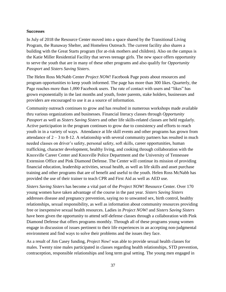#### **Successes**

In July of 2018 the Resource Center moved into a space shared by the Transitional Living Program, the Runaway Shelter, and Homeless Outreach. The current facility also shares a building with the Great Starts program (for at-risk mothers and children). Also on the campus is the Katie Miller Residential Facility that serves teenage girls. The new space offers opportunity to serve the youth that are in many of these other programs and also qualify for *Opportunity Passport* and *Sisters Saving Sisters*.

The Helen Ross McNabb Center *Project NOW!* Facebook Page posts about resources and program opportunities to keep youth informed. The page has more than 300 likes. Quarterly, the Page reaches more than 1,000 Facebook users. The rate of contact with users and "likes" has grown exponentially in the last months and youth, foster parents, stake holders, businesses and providers are encouraged to use it as a source of information.

Community outreach continues to grow and has resulted in numerous workshops made available thru various organizations and businesses. Financial literacy classes through *Opportunity Passport* as well as *Sisters Saving Sisters* and other life skills-related classes are held regularly. Active participation in the program continues to grow due to consistency and efforts to reach youth in in a variety of ways. Attendance at life skill events and other programs has grown from attendance of  $2 - 3$  to 8-12. A relationship with several community partners has resulted in much needed classes on driver's safety, personal safety, soft skills, career opportunities, human trafficking, character development, healthy living, and cooking through collaboration with the Knoxville Career Center and Knoxville Police Department and the University of Tennessee Extension Office and Pink Diamond Defense. The Center will continue its mission of providing financial education, leadership activities, sexual health, as well as life skills and asset purchase training and other programs that are of benefit and useful to the youth. Helen Ross McNabb has provided the use of their trainer to teach CPR and First Aid as well as AED use.

*Sisters Saving Sisters* has become a vital part of the *Project NOW!* Resource Center. Over 170 young women have taken advantage of the course in the past year. *Sisters Saving Sisters* addresses disease and pregnancy prevention, saying no to unwanted sex, birth control, healthy relationships, sexual responsibility, as well as information about community resources providing free or inexpensive sexual health resources. Ladies in *Project NOW!* and *Sisters Saving Sisters* have been given the opportunity to attend self-defense classes through a collaboration with Pink Diamond Defense that offers programs monthly. Through all of these programs young women engage in discussion of issues pertinent to their life experiences in an accepting non-judgmental environment and find ways to solve their problems and the issues they face.

As a result of Jim Casey funding, *Project Now!* was able to provide sexual health classes for males. Twenty nine males participated in classes regarding health relationships, STD prevention, contraception, responsible relationships and long term goal setting. The young men engaged in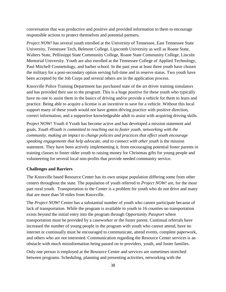conversation that was productive and positive and provided information to them to encourage responsible actions to protect themselves and potential partners.

*Project NOW!* has several youth enrolled at the University of Tennessee, East Tennessee State University, Tennessee Tech, Belmont College, Lipscomb University as well as Roane State, Walters State, Pellissippi State Community College, Roane State Community College, Lincoln Memorial University. Youth are also enrolled at the Tennessee College of Applied Technology, Paul Mitchell Cosmetology, and barber school. In the past year at least three youth have chosen the military for a post-secondary option serving full-time and in reserve status. Two youth have been accepted by the Job Corps and several others are in the application process.

Knoxville Police Training Department has purchased state of the art driver training simulators and has provided their use to the program. This is a huge positive for these youth who typically have no one to assist them in the basics of driving and/or provide a vehicle for them to learn and practice. Being able to acquire a license is an incentive to save for a vehicle. Without this local support many of these youth would not have gotten driving practice with positive direction, correct information, and a supportive knowledgeable adult to assist with acquiring driving skills.

Project NOW! Youth 4 Youth has become active and has developed a mission statement and goals. *Youth 4Youth is committed to reaching out to foster youth, networking with the community, making an impact to change policies and practices that effect youth encourage speaking engagements that help advocate, and to connect with other youth* is the mission statement. They have been actively implementing it, from encouraging potential foster parents in training classes to foster older youth to raising money for Christmas gifts for young people and volunteering for several local non-profits that provide needed community service.

#### **Challenges and Barriers**

The Knoxville based Resource Center has its own unique population differing some from other centers throughout the state. The population of youth referred to *Project NOW!* are, for the most part rural youth. Transportation to the Center is a problem for youth who do not drive and many that are more than 50 miles from Knoxville.

The *Project NOW!* Center has a substantial number of youth who cannot participate because of lack of transportation. While the program is available to youth in 16 counties no transportation exists beyond the initial entry into the program through *Opportunity Passport* where transportation must be provided by a caseworker or the foster parent. Continual referrals have increased the number of young people in the program with youth who cannot attend, have no internet or continually must be encouraged to communicate, attend events, complete paperwork, and others who are not interested. Communication regarding the Resource Center services is an obstacle with much misinformation being passed on to providers, youth, and foster families.

Only one person is employed at the Resource Center and services are sometimes stretched between programs. Scheduling, planning and presenting activities, networking with the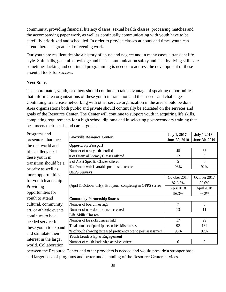community, providing financial literacy classes, sexual health classes, processing matches and the accompanying paper work, as well as continually communicating with youth have to be carefully prioritized and scheduled. In order to provide classes at hours and times youth can attend there is a great deal of evening work.

Our youth are resilient despite a history of abuse and neglect and in many cases a transient life style. Soft skills, general knowledge and basic communication safety and healthy living skills are sometimes lacking and continued programming is needed to address the development of these essential tools for success.

#### **Next Steps**

The coordinator, youth, or others should continue to take advantage of speaking opportunities that inform area organizations of these youth in transition and their needs and challenges. Continuing to increase networking with other service organization in the area should be done. Area organizations both public and private should continually be educated on the services and goals of the Resource Center. The Center will continue to support youth in acquiring life skills, completing requirements for a high school diploma and in selecting post-secondary training that best meets their needs and career goals.

Programs and presenters that meet the real world and life challenges of these youth in transition should be a priority as well as more opportunities for youth leadership. Providing opportunities for youth to attend cultural, community, art, or athletic events continues to be a needed service for these youth to expand and stimulate their interest in the larger world. Collaboration

| <b>Knoxville Resource Center</b>                                | July 1, 2017 - | July 1 2018 - |
|-----------------------------------------------------------------|----------------|---------------|
|                                                                 | June 30, 2018  | June 30, 2019 |
| <b>Opportunity Passport</b>                                     |                |               |
| Number of new youth enrolled                                    | 48             | 38            |
| # of Financial Literacy Classes offered                         | 12             | 6             |
| # of Asset Specific Classes offered                             | 5              | 5             |
| % of youth with favorable post-test outcome                     | 93%            | 92%           |
| <b>OPPS Surveys</b>                                             |                |               |
|                                                                 | October 2017   | October 2017  |
|                                                                 | 82.6.6%        | 82.6%         |
| (April $\&$ October only), % of youth completing an OPPS survey | April 2018     | April 2018    |
|                                                                 | 96.3%          | 96.3%         |
| <b>Community Partnership Boards</b>                             |                |               |
| Number of board meetings                                        | $\tau$         | 8             |
| Number of new door openers created                              | 13             | 11            |
| <b>Life Skills Classes</b>                                      |                |               |
| Number of life skills classes held                              | 17             | 29            |
| Total number of participants in life skills classes             | 92             | 134           |
| % of youth showing increased proficiency pre to post assessment | 93%            | 92%           |
| Youth Leadership & Engagement                                   |                |               |
| Number of youth leadership activities offered                   | 6              | 9             |

between the Resource Center and other providers is needed and would provide a stronger base and larger base of programs and better understanding of the Resource Center services.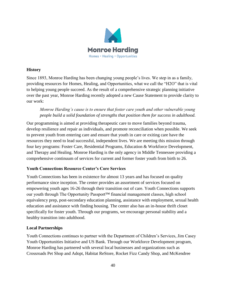

# **History**

Since 1893, Monroe Harding has been changing young people's lives. We step in as a family, providing resources for Homes, Healing, and Opportunities, what we call the "H2O" that is vital to helping young people succeed. As the result of a comprehensive strategic planning initiative over the past year, Monroe Harding recently adopted a new Cause Statement to provide clarity to our work:

# *Monroe Harding's cause is to ensure that foster care youth and other vulnerable young people build a solid foundation of strengths that position them for success in adulthood.*

Our programming is aimed at providing therapeutic care to move families beyond trauma, develop resilience and repair as individuals, and promote reconciliation when possible. We seek to prevent youth from entering care and ensure that youth in care or exiting care have the resources they need to lead successful, independent lives. We are meeting this mission through four key programs: Foster Care, Residential Programs, Education & Workforce Development, and Therapy and Healing. Monroe Harding is the only agency in Middle Tennessee providing a comprehensive continuum of services for current and former foster youth from birth to 26.

# **Youth Connections Resource Center's Core Services**

Youth Connections has been in existence for almost 13 years and has focused on quality performance since inception. The center provides an assortment of services focused on empowering youth ages 16-26 through their transition out of care. Youth Connections supports our youth through The Opportunity Passport™ financial management classes, high school equivalency prep, post-secondary education planning, assistance with employment, sexual health education and assistance with finding housing. The center also has an in-house thrift closet specifically for foster youth. Through our programs, we encourage personal stability and a healthy transition into adulthood.

# **Local Partnerships**

Youth Connections continues to partner with the Department of Children's Services, Jim Casey Youth Opportunities Initiative and US Bank. Through our Workforce Development program, Monroe Harding has partnered with several local businesses and organizations such as Crossroads Pet Shop and Adopt, Habitat ReStore, Rocket Fizz Candy Shop, and McKendree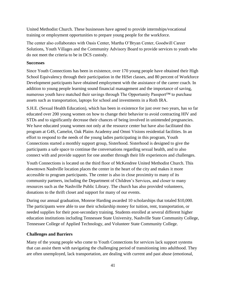United Methodist Church. These businesses have agreed to provide internships/vocational training or employment opportunities to prepare young people for the workforce.

The center also collaborates with Oasis Center, Martha O'Bryan Center, Goodwill Career Solutions, Youth Villages and the Community Advisory Board to provide services to youth who do not meet the criteria to be in DCS custody.

#### **Successes**

Since Youth Connections has been in existence, over 170 young people have obtained their High School Equivalency through their participation in the HiSet classes, and 80 percent of Workforce Development participants have obtained employment with the assistance of the career coach. In addition to young people learning sound financial management and the importance of saving, numerous youth have matched their savings through The Opportunity Passport™ to purchase assets such as transportation, laptops for school and investments in a Roth IRA.

S.H.E. (Sexual Health Education), which has been in existence for just over two years, has so far educated over 200 young women on how to change their behavior to avoid contracting HIV and STDs and to significantly decrease their chances of being involved in unintended pregnancies. We have educated young women not only at the resource center but have also facilitated this program at G4S, Camelot, Oak Plains Academy and Omni Visions residential facilities. In an effort to respond to the needs of the young ladies participating in this program, Youth Connections started a monthly support group, Sisterhood. Sisterhood is designed to give the participants a safe space to continue the conversations regarding sexual health, and to also connect with and provide support for one another through their life experiences and challenges.

Youth Connections is located on the third floor of McKendree United Methodist Church. This downtown Nashville location places the center in the heart of the city and makes it more accessible to program participants. The center is also in close proximity to many of its community partners, including the Department of Children's Services, and closer to many resources such as the Nashville Public Library. The church has also provided volunteers, donations to the thrift closet and support for many of our events.

During our annual graduation, Monroe Harding awarded 10 scholarships that totaled \$10,000. The participants were able to use their scholarship money for tuition, rent, transportation, or needed supplies for their post-secondary training. Students enrolled at several different higher education institutions including Tennessee State University, Nashville State Community College, Tennessee College of Applied Technology, and Volunteer State Community College.

#### **Challenges and Barriers**

Many of the young people who come to Youth Connections for services lack support systems that can assist them with navigating the challenging period of transitioning into adulthood. They are often unemployed, lack transportation, are dealing with current and past abuse (emotional,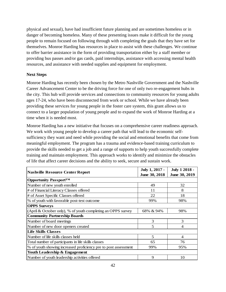physical and sexual), have had insufficient future planning and are sometimes homeless or in danger of becoming homeless. Many of these presenting issues make it difficult for the young people to remain focused on following through with completing the goals that they have set for themselves. Monroe Harding has resources in place to assist with these challenges. We continue to offer barrier assistance in the form of providing transportation either by a staff member or providing bus passes and/or gas cards, paid internships, assistance with accessing mental health resources, and assistance with needed supplies and equipment for employment.

#### **Next Steps**

Monroe Harding has recently been chosen by the Metro Nashville Government and the Nashville Career Advancement Center to be the driving force for one of only two re-engagement hubs in the city. This hub will provide services and connections to community resources for young adults ages 17-24, who have been disconnected from work or school. While we have already been providing these services for young people in the foster care system, this grant allows us to connect to a larger population of young people and to expand the work of Monroe Harding at a time when it is needed most.

Monroe Harding has a new initiative that focuses on a comprehensive career readiness approach. We work with young people to develop a career path that will lead to the economic selfsufficiency they want and need while providing the social and emotional benefits that come from meaningful employment. The program has a trauma and evidence-based training curriculum to provide the skills needed to get a job and a range of supports to help youth successfully complete training and maintain employment. This approach works to identify and minimize the obstacles of life that affect career decisions and the ability to seek, secure and sustain work.

|                                                                 | July 1, 2017 - | <b>July 1 2018 -</b> |
|-----------------------------------------------------------------|----------------|----------------------|
| <b>Nashville Resource Center Report</b>                         | June 30, 2018  | June 30, 2019        |
| <b>Opportunity Passport™</b>                                    |                |                      |
| Number of new youth enrolled                                    | 49             | 32                   |
| # of Financial Literacy Classes offered                         | 11             | 8                    |
| # of Asset Specific Classes offered                             | 22             | 18                   |
| % of youth with favorable post-test outcome                     | 99%            | 98%                  |
| <b>OPPS Surveys</b>                                             |                |                      |
| (April & October only), % of youth completing an OPPS survey    | 68% & 94%      | 98%                  |
| <b>Community Partnership Boards</b>                             |                |                      |
| Number of board meetings                                        | 3              | 3                    |
| Number of new door openers created                              | 5              | 4                    |
| <b>Life Skills Classes</b>                                      |                |                      |
| Number of life skills classes held                              | 5              | $\overline{4}$       |
| Total number of participants in life skills classes             | 65             | 76                   |
| % of youth showing increased proficiency pre to post assessment | 99%            | 95%                  |
| Youth Leadership & Engagement                                   |                |                      |
| Number of youth leadership activities offered                   | 9              | 10                   |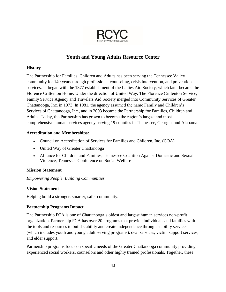

# **Youth and Young Adults Resource Center**

# **History**

The Partnership for Families, Children and Adults has been serving the Tennessee Valley community for 140 years through professional counseling, crisis intervention, and prevention services. It began with the 1877 establishment of the Ladies Aid Society, which later became the Florence Crittenton Home. Under the direction of United Way, The Florence Crittenton Service, Family Service Agency and Travelers Aid Society merged into Community Services of Greater Chattanooga, Inc. in 1973. In 1981, the agency assumed the name Family and Children's Services of Chattanooga, Inc., and in 2003 became the Partnership for Families, Children and Adults. Today, the Partnership has grown to become the region's largest and most comprehensive human services agency serving 19 counties in Tennessee, Georgia, and Alabama.

# **Accreditation and Memberships:**

- Council on Accreditation of Services for Families and Children, Inc. (COA)
- United Way of Greater Chattanooga
- Alliance for Children and Families, Tennessee Coalition Against Domestic and Sexual Violence, Tennessee Conference on Social Welfare

# **Mission Statement**

*Empowering People. Building Communities*.

# **Vision Statement**

Helping build a stronger, smarter, safer community.

# **Partnership Programs Impact**

The Partnership FCA is one of Chattanooga's oldest and largest human services non-profit organization. Partnership FCA has over 20 programs that provide individuals and families with the tools and resources to build stability and create independence through stability services (which includes youth and young adult serving programs), deaf services, victim support services, and elder support.

Partnership programs focus on specific needs of the Greater Chattanooga community providing experienced social workers, counselors and other highly trained professionals. Together, these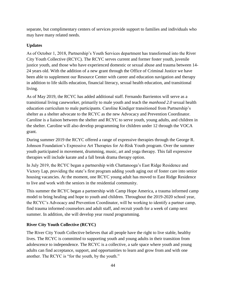separate, but complimentary centers of services provide support to families and individuals who may have many related needs.

# **Updates**

As of October 1, 2018, Partnership's Youth Services department has transformed into the River City Youth Collective (RCYC). The RCYC serves current and former foster youth, juvenile justice youth, and those who have experienced domestic or sexual abuse and trauma between 14- 24 years old. With the addition of a new grant through the Office of Criminal Justice we have been able to supplement our Resource Center with career and education navigation and therapy in addition to life skills education, financial literacy, sexual health education, and transitional living.

As of May 2019, the RCYC has added additional staff. Fernando Barrientos will serve as a transitional living caseworker, primarily to male youth and teach the *manhood 2.0* sexual health education curriculum to male participants. Caroline Kindiger transitioned from Partnership's shelter as a shelter advocate to the RCYC as the new Advocacy and Prevention Coordinator. Caroline is a liaison between the shelter and RCYC to serve youth, young adults, and children in the shelter. Caroline will also develop programming for children under 12 through the VOCA grant.

During summer 2019 the RCYC offered a range of expressive therapies through the George R. Johnson Foundation's Expressive Art Therapies for At-Risk Youth program. Over the summer youth participated in movement, drumming, music, art and yoga therapy. This fall expressive therapies will include karate and a fall break drama therapy option.

In July 2019, the RCYC began a partnership with Chattanooga's East Ridge Residence and Victory Lap, providing the state's first program adding youth aging out of foster care into senior housing vacancies. At the moment, one RCYC young adult has moved to East Ridge Residence to live and work with the seniors in the residential community.

This summer the RCYC began a partnership with Camp Hope America, a trauma informed camp model to bring healing and hope to youth and children. Throughout the 2019-2020 school year, the RCYC's Advocacy and Prevention Coordinator, will be working to identify a partner camp, find trauma informed counselors and adult staff, and recruit youth for a week of camp next summer. In addition, she will develop year round programming.

# **River City Youth Collective (RCYC)**

The River City Youth Collective believes that all people have the right to live stable, healthy lives. The RCYC is committed to supporting youth and young adults in their transition from adolescence to independence. The RCYC is a collective, a safe space where youth and young adults can find acceptance, support, and opportunities to learn and grow from and with one another. The RCYC is "for the youth, by the youth."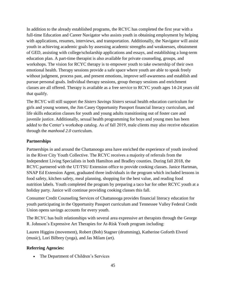In addition to the already established programs, the RCYC has completed the first year with a full-time Education and Career Navigator who assists youth in obtaining employment by helping with applications, resumes, interviews, and transportation. Additionally, the Navigator will assist youth in achieving academic goals by assessing academic strengths and weaknesses, obtainment of GED, assisting with college/scholarship applications and essays, and establishing a long-term education plan. A part-time therapist is also available for private counseling, groups, and workshops. The vision for RCYC therapy is to empower youth to take ownership of their own emotional health. Therapy sessions provide a safe space where youth are able to speak freely without judgment, process past, and present emotions, improve self-awareness and establish and pursue personal goals. Individual therapy sessions, group therapy sessions and enrichment classes are all offered. Therapy is available as a free service to RCYC youth ages 14-24 years old that qualify.

The RCYC will still support the *Sisters Savings Sisters* sexual health education curriculum for girls and young women, the Jim Casey Opportunity Passport financial literacy curriculum, and life skills education classes for youth and young adults transitioning out of foster care and juvenile justice. Additionally, sexual health programming for boys and young men has been added to the Center's workshop catalog. As of fall 2019, male clients may also receive education through the *manhood 2.0* curriculum.

# **Partnerships**

Partnerships in and around the Chattanooga area have enriched the experience of youth involved in the River City Youth Collective. The RCYC receives a majority of referrals from the Independent Living Specialists in both Hamilton and Bradley counties. During fall 2018, the RCYC partnered with the UT/TSU Extension office to provide cooking classes. Janice Hartman, SNAP Ed Extension Agent, graduated three individuals in the program which included lessons in food safety, kitchen safety, meal planning, shopping for the best value, and reading food nutrition labels. Youth completed the program by preparing a taco bar for other RCYC youth at a holiday party. Janice will continue providing cooking classes this fall.

Consumer Credit Counseling Services of Chattanooga provides financial literacy education for youth participating in the Opportunity Passport curriculum and Tennessee Valley Federal Credit Union opens savings accounts for every youth.

The RCYC has built relationships with several area expressive art therapists through the George R. Johnson's Expressive Art Therapies for At-Risk Youth program including:

Lauren Higgins (movement), Robert (Bob) Stagner (drumming), Katherine Goforth Elverd (music), Lori Bilbrey (yoga), and Jas Milam (art).

#### **Referring Agencies:**

The Department of Children's Services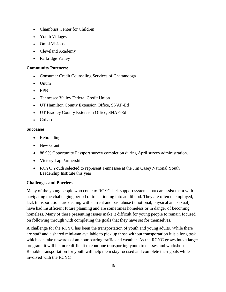- Chambliss Center for Children
- Youth Villages
- Omni Visions
- Cleveland Academy
- Parkridge Valley

# **Community Partners:**

- Consumer Credit Counseling Services of Chattanooga
- Unum
- EPB
- Tennessee Valley Federal Credit Union
- UT Hamilton County Extension Office, SNAP-Ed
- UT Bradley County Extension Office, SNAP-Ed
- CoLab

#### **Successes**

- Rebranding
- New Grant
- 88.9% Opportunity Passport survey completion during April survey administration.
- Victory Lap Partnership
- RCYC Youth selected to represent Tennessee at the Jim Casey National Youth Leadership Institute this year

# **Challenges and Barriers**

Many of the young people who come to RCYC lack support systems that can assist them with navigating the challenging period of transitioning into adulthood. They are often unemployed, lack transportation, are dealing with current and past abuse (emotional, physical and sexual), have had insufficient future planning and are sometimes homeless or in danger of becoming homeless. Many of these presenting issues make it difficult for young people to remain focused on following through with completing the goals that they have set for themselves.

A challenge for the RCYC has been the transportation of youth and young adults. While there are staff and a shared mini-van available to pick up those without transportation it is a long task which can take upwards of an hour barring traffic and weather. As the RCYC grows into a larger program, it will be more difficult to continue transporting youth to classes and workshops. Reliable transportation for youth will help them stay focused and complete their goals while involved with the RCYC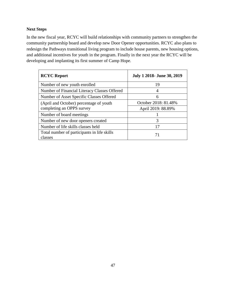# **Next Steps**

In the new fiscal year, RCYC will build relationships with community partners to strengthen the community partnership board and develop new Door Opener opportunities. RCYC also plans to redesign the Pathways transitional living program to include house parents, new housing options, and additional incentives for youth in the program. Finally in the next year the RCYC will be developing and implanting its first summer of Camp Hope.

| <b>RCYC Report</b>                           | <b>July 1 2018- June 30, 2019</b> |
|----------------------------------------------|-----------------------------------|
| Number of new youth enrolled                 | 19                                |
| Number of Financial Literacy Classes Offered | 4                                 |
| Number of Asset Specific Classes Offered     | 6                                 |
| (April and October) percentage of youth      | October 2018: 81.48%              |
| completing an OPPS survey                    | April 2019: 88.89%                |
| Number of board meetings                     |                                   |
| Number of new door openers created           | 3                                 |
| Number of life skills classes held           | 17                                |
| Total number of participants in life skills  |                                   |
| classes                                      |                                   |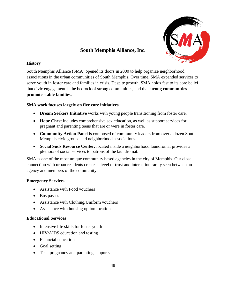

# **South Memphis Alliance, Inc.**

# **History**

South Memphis Alliance (SMA) opened its doors in 2000 to help organize neighborhood associations in the urban communities of South Memphis. Over time, SMA expanded services to serve youth in foster care and families in crisis. Despite growth, SMA holds fast to its core belief that civic engagement is the bedrock of strong communities, and that **strong communities promote stable families.**

# **SMA work focuses largely on five core initiatives**

- **Dream Seekers Initiative** works with young people transitioning from foster care.
- **Hope Chest** includes comprehensive sex education, as well as support services for pregnant and parenting teens that are or were in foster care.
- **[Community Action Panel](http://www.southmemphisalliance.org/our-work/community-advisory-cap)** is composed of community leaders from over a dozen South Memphis civic groups and neighborhood associations.
- **Social Suds Resource Center,** located inside a neighborhood laundromat provides a plethora of social services to patrons of the laundromat.

SMA is one of the most unique community based agencies in the city of Memphis. Our close connection with urban residents creates a level of trust and interaction rarely seen between an agency and members of the community.

# **Emergency Services**

- Assistance with Food vouchers
- Bus passes
- Assistance with Clothing/Uniform vouchers
- Assistance with housing option location

#### **Educational Services**

- Intensive life skills for foster youth
- HIV/AIDS education and testing
- Financial education
- Goal setting
- Teen pregnancy and parenting supports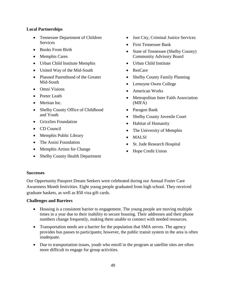#### **Local Partnerships**

- Tennessee Department of Children **Services**
- Books From Birth
- Memphis Cares
- Urban Child Institute Memphis
- United Way of the Mid-South
- Planned Parenthood of the Greater Mid-South
- Omni Visions
- Porter Leath
- Meritan Inc.
- Shelby County Office of Childhood and Youth
- Grizzlies Foundation
- CD Council
- Memphis Public Library
- The Assisi Foundation
- Memphis Artists for Change
- Shelby County Health Department
- Just City, Criminal Justice Services
- First Tennessee Bank
- State of Tennessee (Shelby County) Community Advisory Board
- Urban Child Institute
- ResCare
- Shelby County Family Planning
- Lemoyne Owen College
- American Works
- Metropolitan Inter Faith Association (MIFA)
- Paragon Bank
- Shelby County Juvenile Court
- Habitat of Humanity
- The University of Memphis
- MALSI
- St. Jude Research Hospital
- Hope Credit Union

#### **Successes**

Our Opportunity Passport Dream Seekers were celebrated during our Annual Foster Care Awareness Month festivities. Eight young people graduated from high school. They received graduate baskets, as well as \$50 visa gift cards.

#### **Challenges and Barriers**

- Housing is a consistent barrier to engagement. The young people are moving multiple times in a year due to their inability to secure housing. Their addresses and their phone numbers change frequently, making them unable to connect with needed resources.
- Transportation needs are a barrier for the population that SMA serves. The agency provides bus passes to participants; however, the public transit system in the area is often inadequate.
- Due to transportation issues, youth who enroll in the program at satellite sites are often more difficult to engage for group activities.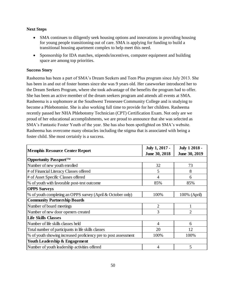# **Next Steps**

- SMA continues to diligently seek housing options and innovations in providing housing for young people transitioning out of care. SMA is applying for funding to build a transitional housing apartment complex to help meet this need.
- Sponsorship for IDA matches, stipends/incentives, computer equipment and building space are among top priorities.

# **Success Story**

Rasheema has been a part of SMA's Dream Seekers and Teen Plus program since July 2013. She has been in and out of foster homes since she was 9 years old. Her caseworker introduced her to the Dream Seekers Program, where she took advantage of the benefits the program had to offer. She has been an active member of the dream seekers program and attends all events at SMA. Rasheema is a sophomore at the Southwest Tennessee Community College and is studying to become a Phlebotomist. She is also working full time to provide for her children. Rasheema recently passed her NHA Phlebotomy Technician (CPT) Certification Exam. Not only are we proud of her educational accomplishments, we are proud to announce that she was selected as SMA's Fantastic Foster Youth of the year. She has also been spotlighted on SMA's website. Rasheema has overcome many obstacles including the stigma that is associated with being a foster child. She most certainly is a success.

| <b>Memphis Resource Center Report</b>                           | July 1, 2017 - | <b>July 1 2018 -</b> |
|-----------------------------------------------------------------|----------------|----------------------|
|                                                                 | June 30, 2018  | June 30, 2019        |
| Opportunity Passport <sup>TM</sup>                              |                |                      |
| Number of new youth enrolled                                    | 32             | 73                   |
| # of Financial Literacy Classes offered                         | 5              | 8                    |
| # of Asset Specific Classes offered                             | 4              | 6                    |
| % of youth with favorable post-test outcome                     | 85%            | 85%                  |
| <b>OPPS Surveys</b>                                             |                |                      |
| % of youth completing an OPPS survey (April & October only)     | 100%           | 100% (April)         |
| <b>Community Partnership Boards</b>                             |                |                      |
| Number of board meetings                                        | $\overline{2}$ |                      |
| Number of new door openers created                              | 3              | $\mathfrak{D}$       |
| <b>Life Skills Classes</b>                                      |                |                      |
| Number of life skills classes held                              | $\overline{4}$ | 6                    |
| Total number of participants in life skills classes             | 20             | 12                   |
| % of youth showing increased proficiency pre to post assessment | 100%           | 100%                 |
| Youth Leadership & Engagement                                   |                |                      |
| Number of youth leadership activities offered                   | 4              | 5                    |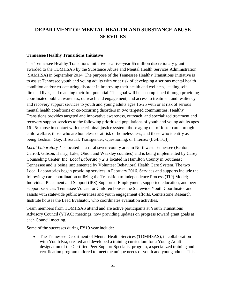# **DEPARTMENT OF MENTAL HEALTH AND SUBSTANCE ABUSE SERVICES**

#### **Tennessee Healthy Transitions Initiative**

The Tennessee Healthy Transitions Initiative is a five-year \$5 million discretionary grant awarded to the TDMHSAS by the Substance Abuse and Mental Health Services Administration (SAMHSA) in September 2014. The purpose of the Tennessee Healthy Transitions Initiative is to assist Tennessee youth and young adults with or at risk of developing a serious mental health condition and/or co-occurring disorder in improving their health and wellness, leading selfdirected lives, and reaching their full potential. This goal will be accomplished through providing coordinated public awareness, outreach and engagement, and access to treatment and resiliency and recovery support services to youth and young adults ages 16-25 with or at risk of serious mental health conditions or co-occurring disorders in two targeted communities. Healthy Transitions provides targeted and innovative awareness, outreach, and specialized treatment and recovery support services to the following prioritized populations of youth and young adults ages 16-25: those in contact with the criminal justice system; those aging out of foster care through child welfare; those who are homeless or at risk of homelessness; and those who identify as being Lesbian, Gay, Bisexual, Transgender, Questioning, or Intersex (LGBTQI).

*Local Laboratory 1* is located in a rural seven-county area in Northwest Tennessee (Benton, Carroll, Gibson, Henry, Lake, Obion and Weakley counties) and is being implemented by Carey Counseling Center, Inc. *Local Laboratory 2* is located in Hamilton County in Southeast Tennessee and is being implemented by Volunteer Behavioral Health Care System. The two Local Laboratories began providing services in February 2016. Services and supports include the following: care coordination utilizing the Transition to Independence Process (TIP) Model; Individual Placement and Support (IPS) Supported Employment; supported education; and peer support services. Tennessee Voices for Children houses the Statewide Youth Coordinator and assists with statewide public awareness and youth engagement efforts. Centerstone Research Institute houses the Lead Evaluator, who coordinates evaluation activities.

Team members from TDMHSAS attend and are active participants at Youth Transitions Advisory Council (YTAC) meetings, now providing updates on progress toward grant goals at each Council meeting.

Some of the successes during FY19 year include:

• The Tennessee Department of Mental Health Services (TDMHSAS), in collaboration with Youth Era, created and developed a training curriculum for a Young Adult designation of the Certified Peer Support Specialist program, a specialized training and certification program tailored to meet the unique needs of youth and young adults. This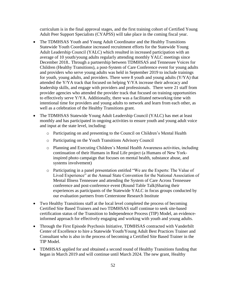curriculum is in the final approval stages, and the first training cohort of Certified Young Adult Peer Support Specialists (CYAPSS) will take place in the coming fiscal year.

- The TDMHSAS Youth and Young Adult Coordinator and the Healthy Transitions Statewide Youth Coordinator increased recruitment efforts for the Statewide Young Adult Leadership Council (YALC) which resulted in increased participation with an average of 10 youth/young adults regularly attending monthly YALC meetings since December 2018.. Through a partnership between TDMHSAS and Tennessee Voices for Children (Healthy Transitions), a post-System of Care Conference event for young adults and providers who serve young adults was held in September 2019 to include trainings for youth, young adults, and providers. There were 8 youth and young adults (Y/YA) that attended the Y/YA track that focused on helping Y/YA increase their advocacy and leadership skills, and engage with providers and professionals. There were 21 staff from provider agencies who attended the provider track that focused on training opportunities to effectively serve Y/YA. Additionally, there was a facilitated networking time with intentional time for providers and young adults to network and learn from each other, as well as a celebration of the Healthy Transitions grant.
- The TDMHSAS Statewide Young Adult Leadership Council (YALC) has met at least monthly and has participated in ongoing activities to ensure youth and young adult voice and input at the state level, including:
	- o Participating on and presenting to the Council on Children's Mental Health
	- o Participating on the Youth Transitions Advisory Council
	- o Planning and Executing Children's Mental Health Awareness activities, including continuation of their Humans in Real Life project (a Humans of New Yorkinspired photo campaign that focuses on mental health, substance abuse, and systems involvement)
	- o Participating in a panel presentation entitled "We are the Experts: The Value of Lived Experience" at the Annual State Convention for the National Association of Mental Illness Tennessee and attending the System of Care Across Tennessee conference and post-conference event (Round Table Talk)Sharing their experiences as participants of the Statewide YALC in focus groups conducted by our evaluation partners from Centerstone Research Institute
- Two Healthy Transitions staff at the local level completed the process of becoming Certified Site Based Trainers and two TDMHSAS staff continue to seek site-based certification status of the Transition to Independence Process (TIP) Model, an evidenceinformed approach for effectively engaging and working with youth and young adults.
- Through the First Episode Psychosis Initiative, TDMHSAS contracted with Vanderbilt Center of Excellence to hire a Statewide Youth/Young Adult Best Practices Trainer and Consultant who is also in the process of becoming a Certified Site Based Trainer in the TIP Model.
- TDMHSAS applied for and obtained a second round of Healthy Transitions funding that began in March 2019 and will continue until March 2024. The new grant, Healthy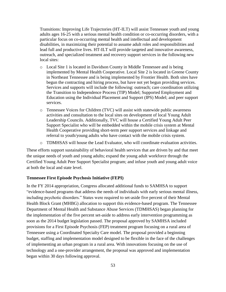Transitions: Improving Life Trajectories (HT-ILT) will assist Tennessee youth and young adults ages 16-25 with a serious mental health condition or co-occurring disorders, with a particular focus on co-occurring mental health and intellectual and development disabilities, in maximizing their potential to assume adult roles and responsibilities and lead full and productive lives. HT-ILT will provide targeted and innovative awareness, outreach, and specialized treatment and recovery support services in the following new local sites:

- o Local Site 1 is located in Davidson County in Middle Tennessee and is being implemented by Mental Health Cooperative. Local Site 2 is located in Greene County in Northeast Tennessee and is being implemented by Frontier Health. Both sites have begun the contracting and hiring process, but have not yet begun providing services. Services and supports will include the following: outreach; care coordination utilizing the Transition to Independence Process (TIP) Model; Supported Employment and Education using the Individual Placement and Support (IPS) Model; and peer support services.
- o Tennessee Voices for Children (TVC) will assist with statewide public awareness activities and consultation to the local sites on development of local Young Adult Leadership Councils. Additionally, TVC will house a Certified Young Adult Peer Support Specialist who will be embedded within the mobile crisis system at Mental Health Cooperative providing short-term peer support services and linkage and referral to youth/young adults who have contact with the mobile crisis system.
- $\circ$  TDMHSAS will house the Lead Evaluator, who will coordinate evaluation activities.

These efforts support sustainability of behavioral health services that are driven by and that meet the unique needs of youth and young adults; expand the young adult workforce through the Certified Young Adult Peer Support Specialist program; and infuse youth and young adult voice at both the local and state level.

#### **Tennessee First Episode Psychosis Initiative (FEPI)**

In the FY 2014 appropriation, Congress allocated additional funds to SAMHSA to support "evidence-based programs that address the needs of individuals with early serious mental illness, including psychotic disorders." States were required to set-aside five percent of their Mental Health Block Grant (MHBG) allocation to support this evidence-based program. The Tennessee Department of Mental Health and Substance Abuse Services (TDMHSAS) began planning for the implementation of the five percent set-aside to address early intervention programming as soon as the 2014 budget legislation passed. The proposal approved by SAMHSA included provisions for a First Episode Psychosis (FEP) treatment program focusing on a rural area of Tennessee using a Coordinated Specialty Care model. The proposal provided a beginning budget, staffing and implementation model designed to be flexible in the face of the challenges of implementing an urban program in a rural area. With innovations focusing on the use of technology and a one-provider arrangement, the proposal was approved and implementation began within 30 days following approval.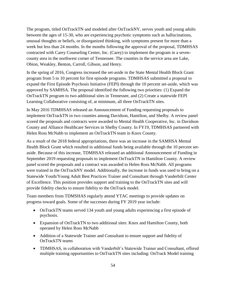The program, titled OnTrackTN and modeled after OnTrackNY, serves youth and young adults between the ages of 15-30, who are experiencing psychotic symptoms such as hallucinations, unusual thoughts or beliefs, or disorganized thinking, with symptoms present for more than a week but less than 24 months. In the months following the approval of the proposal, TDMHSAS contracted with Carey Counseling Center, Inc. (Carey) to implement the program in a sevencounty area in the northwest corner of Tennessee. The counties in the service area are Lake, Obion, Weakley, Benton, Carroll, Gibson, and Henry.

In the spring of 2016, Congress increased the set-aside in the State Mental Health Block Grant program from 5 to 10 percent for first episode programs. TDMHSAS submitted a proposal to expand the First Episode Psychosis Initiative (FEPI) through the 10 percent set-aside, which was approved by SAMHSA. The proposal identified the following two priorities: (1) Expand the OnTrackTN program to two additional sites in Tennessee, and (2) Create a statewide FEPI Learning Collaborative consisting of, at minimum, all three OnTrackTN sites.

In May 2016 TDMHSAS released an Announcement of Funding requesting proposals to implement OnTrackTN in two counties among Davidson, Hamilton, and Shelby. A review panel scored the proposals and contracts were awarded to Mental Health Cooperative, Inc. in Davidson County and Alliance Healthcare Services in Shelby County. In FY19, TDMHSAS partnered with Helen Ross McNabb to implement an OnTrackTN team in Knox County.

As a result of the 2018 federal appropriations, there was an increase in the SAMHSA Mental Health Block Grant which resulted in additional funds being available through the 10 percent setaside. Because of this increase, TDMHSAS released an additional Announcement of Funding in September 2019 requesting proposals to implement OnTrackTN in Hamilton County. A review panel scored the proposals and a contract was awarded to Helen Ross McNabb. All programs were trained in the OnTrackNY model. Additionally, the increase in funds was used to bring on a Statewide Youth/Young Adult Best Practices Trainer and Consultant through Vanderbilt Center of Excellence. This position provides support and training to the OnTrackTN sites and will provide fidelity checks to ensure fidelity to the OnTrack model.

Team members from TDMSHAS regularly attend YTAC meetings to provide updates on progress toward goals. Some of the successes during FY 2019 year include:

- OnTrackTN teams served 134 youth and young adults experiencing a first episode of psychosis.
- Expansion of OnTrackTN to two additional sites: Knox and Hamilton County, both operated by Helen Ross McNabb
- Addition of a Statewide Trainer and Consultant to ensure support and fidelity of OnTrackTN teams
- TDMHSAS, in collaboration with Vanderbilt's Statewide Trainer and Consultant, offered multiple training opportunities to OnTrackTN sites including: OnTrack Model training